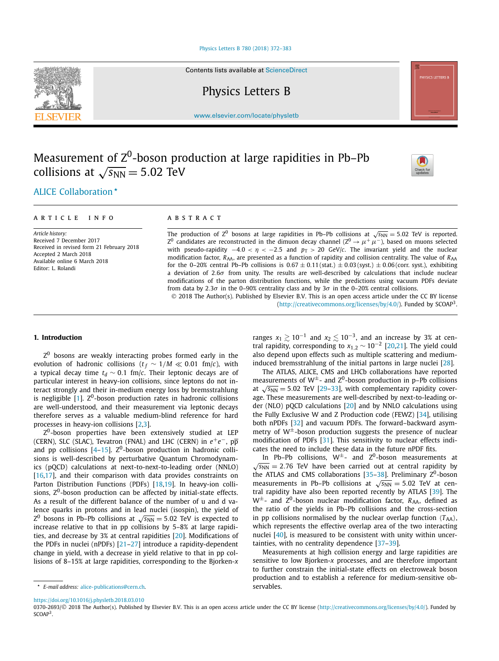#### [Physics Letters B 780 \(2018\) 372–383](https://doi.org/10.1016/j.physletb.2018.03.010)

Contents lists available at [ScienceDirect](http://www.ScienceDirect.com/)

Physics Letters B

[www.elsevier.com/locate/physletb](http://www.elsevier.com/locate/physletb)

# Measurement of  $Z^0$ -boson production at large rapidities in Pb–Pb collisions at  $\sqrt{s_{NN}}$  = 5.02 TeV



.ALICE [Collaboration](#page-6-0) *-*

#### A R T I C L E I N F O A B S T R A C T

*Article history:* Received 7 December 2017 Received in revised form 21 February 2018 Accepted 2 March 2018 Available online 6 March 2018 Editor: L. Rolandi

The production of  $Z^0$  bosons at large rapidities in Pb–Pb collisions at  $\sqrt{s_{NN}} = 5.02$  TeV is reported.  $Z^0$  candidates are reconstructed in the dimuon decay channel ( $Z^0 \rightarrow \mu^+ \mu^-$ ), based on muons selected with pseudo-rapidity  $-4.0 < \eta < -2.5$  and  $p<sub>T</sub> > 20$  GeV/*c*. The invariant yield and the nuclear modification factor, *R*<sub>AA</sub>, are presented as a function of rapidity and collision centrality. The value of *R*<sub>AA</sub> for the 0–20% central Pb–Pb collisions is  $0.67 \pm 0.11$  (stat.)  $\pm 0.03$  (syst.)  $\pm 0.06$  (corr. syst.), exhibiting a deviation of 2*.*6*σ* from unity. The results are well-described by calculations that include nuclear modifications of the parton distribution functions, while the predictions using vacuum PDFs deviate from data by 2.3 $\sigma$  in the 0–90% centrality class and by 3 $\sigma$  in the 0–20% central collisions.

© 2018 The Author(s). Published by Elsevier B.V. This is an open access article under the CC BY license [\(http://creativecommons.org/licenses/by/4.0/\)](http://creativecommons.org/licenses/by/4.0/). Funded by SCOAP3.

# **1. Introduction**

 $Z<sup>0</sup>$  bosons are weakly interacting probes formed early in the evolution of hadronic collisions ( $t_f \sim 1/M \ll 0.01$  fm/*c*), with a typical decay time  $t_d$  ∼ 0.1 fm/*c*. Their leptonic decays are of particular interest in heavy-ion collisions, since leptons do not interact strongly and their in-medium energy loss by bremsstrahlung is negligible  $[1]$ .  $Z^0$ -boson production rates in hadronic collisions are well-understood, and their measurement via leptonic decays therefore serves as a valuable medium-blind reference for hard processes in heavy-ion collisions [\[2,3\]](#page-5-0).

 $Z<sup>0</sup>$ -boson properties have been extensively studied at LEP (CERN), SLC (SLAC), Tevatron (FNAL) and LHC (CERN) in *e*+*e*−, pp and pp collisions [4-15].  $Z^0$ -boson production in hadronic collisions is well-described by perturbative Quantum Chromodynamics (pQCD) calculations at next-to-next-to-leading order (NNLO) [\[16,17\]](#page-5-0), and their comparison with data provides constraints on Parton Distribution Functions (PDFs) [\[18,19\]](#page-5-0). In heavy-ion collisions,  $Z^0$ -boson production can be affected by initial-state effects. As a result of the different balance of the number of u and d valence quarks in protons and in lead nuclei (isospin), the yield of  $Z^0$  bosons in Pb–Pb collisions at  $\sqrt{s_{NN}}$  = 5.02 TeV is expected to increase relative to that in pp collisions by 5–8% at large rapidities, and decrease by 3% at central rapidities [\[20\]](#page-5-0). Modifications of the PDFs in nuclei (nPDFs) [\[21](#page-5-0)[–27\]](#page-6-0) introduce a rapidity-dependent change in yield, with a decrease in yield relative to that in pp collisions of 8–15% at large rapidities, corresponding to the Bjorken-*x* ranges  $x_1 \gtrsim 10^{-1}$  and  $x_2 \lesssim 10^{-3}$ , and an increase by 3% at central rapidity, corresponding to  $x_{1,2} \sim 10^{-2}$  [\[20,21\]](#page-5-0). The yield could also depend upon effects such as multiple scattering and mediuminduced bremsstrahlung of the initial partons in large nuclei [\[28\]](#page-6-0).

The ATLAS, ALICE, CMS and LHCb collaborations have reported measurements of  $W^{\pm}$ - and  $Z^{0}$ -boson production in p–Pb collisions at  $\sqrt{s_{NN}}$  = 5.02 TeV [\[29–33\]](#page-6-0), with complementary rapidity coverage. These measurements are well-described by next-to-leading order (NLO) pQCD calculations [\[20\]](#page-5-0) and by NNLO calculations using the Fully Exclusive W and Z Production code (FEWZ) [\[34\]](#page-6-0), utilising both nPDFs [\[32\]](#page-6-0) and vacuum PDFs. The forward–backward asymmetry of  $W^{\pm}$ -boson production suggests the presence of nuclear modification of PDFs [\[31\]](#page-6-0). This sensitivity to nuclear effects indicates the need to include these data in the future nPDF fits.

In Pb–Pb collisions,  $W^{\pm}$ - and  $Z^{0}$ -boson measurements at  $\sqrt{s_{NN}}$  = 2.76 TeV have been carried out at central rapidity by the ATLAS and CMS collaborations  $[35-38]$ . Preliminary  $Z^0$ -boson measurements in Pb–Pb collisions at  $\sqrt{s_{NN}} = 5.02$  TeV at central rapidity have also been reported recently by ATLAS [\[39\]](#page-6-0). The  $W^{\pm}$ - and  $Z^{0}$ -boson nuclear modification factor,  $R_{AA}$ , defined as the ratio of the yields in Pb–Pb collisions and the cross-section in pp collisions normalised by the nuclear overlap function  $(T<sub>AA</sub>)$ , which represents the effective overlap area of the two interacting nuclei [\[40\]](#page-6-0), is measured to be consistent with unity within uncertainties, with no centrality dependence [\[37–39\]](#page-6-0).

Measurements at high collision energy and large rapidities are sensitive to low Bjorken-*x* processes, and are therefore important to further constrain the initial-state effects on electroweak boson production and to establish a reference for medium-sensitive observables.

0370-2693/© 2018 The Author(s). Published by Elsevier B.V. This is an open access article under the CC BY license [\(http://creativecommons.org/licenses/by/4.0/](http://creativecommons.org/licenses/by/4.0/)). Funded by SCOAP<sup>3</sup>.



*<sup>-</sup> E-mail address:* [alice-publications@cern.ch](mailto:alice-publications@cern.ch).

<https://doi.org/10.1016/j.physletb.2018.03.010>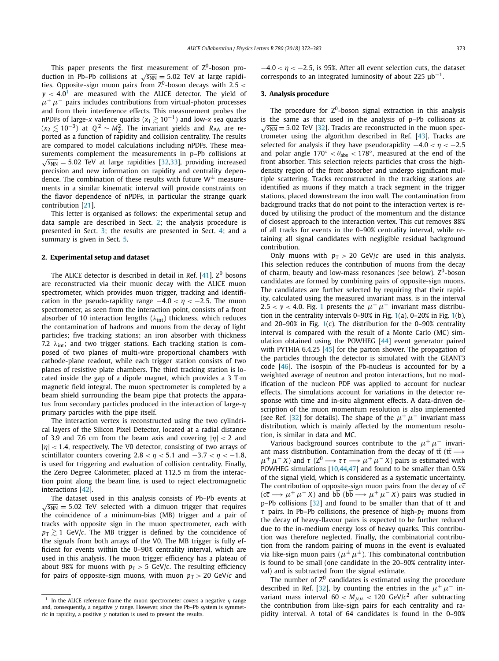This paper presents the first measurement of  $Z^0$ -boson production in Pb–Pb collisions at  $\sqrt{s_{NN}} = 5.02$  TeV at large rapidities. Opposite-sign muon pairs from  $Z^0$ -boson decays with 2.5 <  $y < 4.0<sup>1</sup>$  are measured with the ALICE detector. The yield of  $\mu^+ \mu^-$  pairs includes contributions from virtual-photon processes and from their interference effects. This measurement probes the nPDFs of large-*x* valence quarks ( $x_1 \gtrsim 10^{-1}$ ) and low-*x* sea quarks  $(x_2 ≤ 10^{-3})$  at  $Q^2 ~ ∼ M_Z^2$ . The invariant yields and *R*<sub>AA</sub> are reported as a function of rapidity and collision centrality. The results are compared to model calculations including nPDFs. These measurements complement the measurements in p–Pb collisions at  $\sqrt{s_{NN}}$  = 5.02 TeV at large rapidities [\[32,33\]](#page-6-0), providing increased precision and new information on rapidity and centrality dependence. The combination of these results with future  $W^{\pm}$  measurements in a similar kinematic interval will provide constraints on the flavor dependence of nPDFs, in particular the strange quark contribution [\[21\]](#page-5-0).

This letter is organised as follows: the experimental setup and data sample are described in Sect. 2; the analysis procedure is presented in Sect. 3; the results are presented in Sect. [4;](#page-3-0) and a summary is given in Sect. [5.](#page-4-0)

### **2. Experimental setup and dataset**

The ALICE detector is described in detail in Ref.  $[41]$ .  $Z^0$  bosons are reconstructed via their muonic decay with the ALICE muon spectrometer, which provides muon trigger, tracking and identification in the pseudo-rapidity range  $-4.0 < \eta < -2.5$ . The muon spectrometer, as seen from the interaction point, consists of a front absorber of 10 interaction lengths (*λ*int) thickness, which reduces the contamination of hadrons and muons from the decay of light particles; five tracking stations; an iron absorber with thickness 7.2  $\lambda_{\text{int}}$ ; and two trigger stations. Each tracking station is composed of two planes of multi-wire proportional chambers with cathode-plane readout, while each trigger station consists of two planes of resistive plate chambers. The third tracking station is located inside the gap of a dipole magnet, which provides a 3 T·m magnetic field integral. The muon spectrometer is completed by a beam shield surrounding the beam pipe that protects the apparatus from secondary particles produced in the interaction of large-*η* primary particles with the pipe itself.

The interaction vertex is reconstructed using the two cylindrical layers of the Silicon Pixel Detector, located at a radial distance of 3.9 and 7.6 cm from the beam axis and covering |*η*| *<* 2 and |*η*| *<* <sup>1</sup>*.*4, respectively. The V0 detector, consisting of two arrays of scintillator counters covering  $2.8 < \eta < 5.1$  and  $-3.7 < \eta < -1.8$ , is used for triggering and evaluation of collision centrality. Finally, the Zero Degree Calorimeter, placed at 112.5 m from the interaction point along the beam line, is used to reject electromagnetic interactions [\[42\]](#page-6-0).

The dataset used in this analysis consists of Pb–Pb events at  $\sqrt{s_{NN}} = 5.02$  TeV selected with a dimuon trigger that requires the coincidence of a minimum-bias (MB) trigger and a pair of tracks with opposite sign in the muon spectrometer, each with  $p_{\rm T} \gtrsim 1$  GeV/ $c$ . The MB trigger is defined by the coincidence of the signals from both arrays of the V0. The MB trigger is fully efficient for events within the 0–90% centrality interval, which are used in this analysis. The muon trigger efficiency has a plateau of about 98% for muons with  $p<sub>T</sub> > 5$  GeV/*c*. The resulting efficiency for pairs of opposite-sign muons, with muon  $p<sub>T</sub> > 20$  GeV/*c* and −4*.*<sup>0</sup> *< η <* −2*.*5, is 95%. After all event selection cuts, the dataset corresponds to an integrated luminosity of about 225  $\mu$ b<sup>-1</sup>.

# **3. Analysis procedure**

The procedure for  $Z^0$ -boson signal extraction in this analysis is the same as that used in the analysis of p–Pb collisions at  $\sqrt{s_{NN}}$  = 5.02 TeV [\[32\]](#page-6-0). Tracks are reconstructed in the muon spectrometer using the algorithm described in Ref. [\[43\]](#page-6-0). Tracks are selected for analysis if they have pseudorapidity −4*.*<sup>0</sup> *< η <* −2*.*<sup>5</sup> and polar angle 170◦ *< θ*abs *<* 178◦, measured at the end of the front absorber. This selection rejects particles that cross the highdensity region of the front absorber and undergo significant multiple scattering. Tracks reconstructed in the tracking stations are identified as muons if they match a track segment in the trigger stations, placed downstream the iron wall. The contamination from background tracks that do not point to the interaction vertex is reduced by utilising the product of the momentum and the distance of closest approach to the interaction vertex. This cut removes 88% of all tracks for events in the 0–90% centrality interval, while retaining all signal candidates with negligible residual background contribution.

Only muons with  $p_T > 20$  GeV/*c* are used in this analysis. This selection reduces the contribution of muons from the decay of charm, beauty and low-mass resonances (see below).  $Z^0$ -boson candidates are formed by combining pairs of opposite-sign muons. The candidates are further selected by requiring that their rapidity, calculated using the measured invariant mass, is in the interval  $2.5 < y < 4.0$ . Fig. [1](#page-2-0) presents the  $\mu^+ \mu^-$  invariant mass distribution in the centrality intervals 0–90% in Fig. [1\(](#page-2-0)a), 0–20% in Fig. [1\(](#page-2-0)b), and 20–90% in Fig.  $1(c)$  $1(c)$ . The distribution for the 0–90% centrality interval is compared with the result of a Monte Carlo (MC) simulation obtained using the POWHEG [\[44\]](#page-6-0) event generator paired with PYTHIA 6.4.25 [\[45\]](#page-6-0) for the parton shower. The propagation of the particles through the detector is simulated with the GEANT3 code [\[46\]](#page-6-0). The isospin of the Pb-nucleus is accounted for by a weighted average of neutron and proton interactions, but no modification of the nucleon PDF was applied to account for nuclear effects. The simulations account for variations in the detector response with time and in-situ alignment effects. A data-driven description of the muon momentum resolution is also implemented (see Ref. [\[32\]](#page-6-0) for details). The shape of the  $\mu^+ \mu^-$  invariant mass distribution, which is mainly affected by the momentum resolution, is similar in data and MC.

Various background sources contribute to the  $\mu^+ \mu^-$  invariant mass distribution. Contamination from the decay of tt (tt  $\longrightarrow$ *μ*<sup>+</sup> *μ*<sup>−</sup> *X*) and *τ* ( $Z^0$  → *ττ* → *μ*<sup>+</sup> *μ*<sup>−</sup> *X*) pairs is estimated with POWHEG simulations [\[10,44,](#page-5-0)[47\]](#page-6-0) and found to be smaller than 0.5% of the signal yield, which is considered as a systematic uncertainty. The contribution of opposite-sign muon pairs from the decay of  $c\overline{c}$  $(c\overline{c} \longrightarrow \mu^+ \mu^- X)$  and bb  $(b\overline{b} \longrightarrow \mu^+ \mu^- X)$  pairs was studied in p–Pb collisions  $[32]$  and found to be smaller than that of  $t\bar{t}$  and *τ* pairs. In Pb–Pb collisions, the presence of high- $p<sub>T</sub>$  muons from the decay of heavy-flavour pairs is expected to be further reduced due to the in-medium energy loss of heavy quarks. This contribution was therefore neglected. Finally, the combinatorial contribution from the random pairing of muons in the event is evaluated via like-sign muon pairs ( $\mu^{\pm}$   $\mu^{\pm}$ ). This combinatorial contribution is found to be small (one candidate in the 20–90% centrality interval) and is subtracted from the signal estimate.

The number of  $Z^0$  candidates is estimated using the procedure described in Ref. [\[32\]](#page-6-0), by counting the entries in the  $\mu^+ \mu^-$  invariant mass interval  $60 < M_{\mu\mu} < 120$  GeV/ $c^2$  after subtracting the contribution from like-sign pairs for each centrality and rapidity interval. A total of 64 candidates is found in the 0–90%

<sup>1</sup> In the ALICE reference frame the muon spectrometer covers a negative *η* range and, consequently, a negative *y* range. However, since the Pb–Pb system is symmetric in rapidity, a positive *y* notation is used to present the results.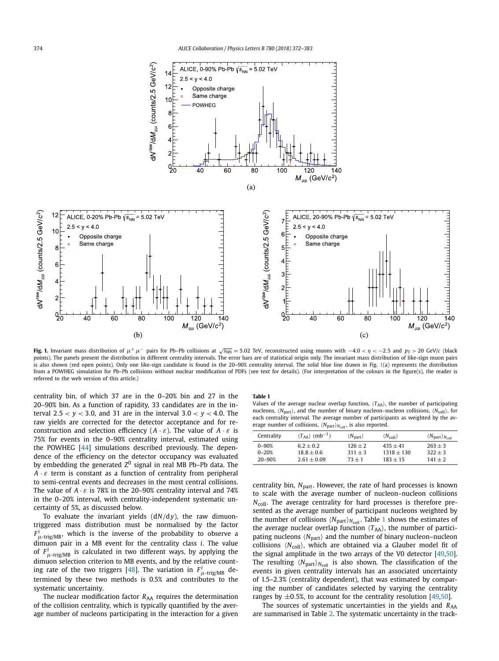<span id="page-2-0"></span>

Fig. 1. Invariant mass distribution of  $\mu^+ \mu^-$  pairs for Pb-Pb collisions at  $\sqrt{s_{NN}}$  = 5.02 TeV, reconstructed using muons with  $-4.0 < \eta < -2.5$  and  $p_T > 20$  GeV/c (black points). The panels present the distribution in different centrality intervals. The error bars are of statistical origin only. The invariant mass distribution of like-sign muon pairs is also shown (red open points). Only one like-sign candidate is found in the 20–90% centrality interval. The solid blue line drawn in Fig. 1(a) represents the distribution from a POWHEG simulation for Pb–Pb collisions without nuclear modification of PDFs (see text for details). (For interpretation of the colours in the figure(s), the reader is referred to the web version of this article.)

centrality bin, of which 37 are in the 0–20% bin and 27 in the 20–90% bin. As a function of rapidity, 33 candidates are in the interval  $2.5 < y < 3.0$ , and 31 are in the interval  $3.0 < y < 4.0$ . The raw yields are corrected for the detector acceptance and for reconstruction and selection efficiency  $(A \cdot \varepsilon)$ . The value of  $A \cdot \varepsilon$  is 75% for events in the 0–90% centrality interval, estimated using the POWHEG [\[44\]](#page-6-0) simulations described previously. The dependence of the efficiency on the detector occupancy was evaluated by embedding the generated  $Z^0$  signal in real MB Pb–Pb data. The *<sup>A</sup>* · *ε* term is constant as <sup>a</sup> function of centrality from peripheral to semi-central events and decreases in the most central collisions. The value of  $A \cdot \varepsilon$  is 78% in the 20–90% centrality interval and 74% in the 0–20% interval, with centrality-independent systematic uncertainty of 5%, as discussed below.

To evaluate the invariant yields (d*N/*d*y*), the raw dimuontriggered mass distribution must be normalised by the factor  $F^i_{\mu\text{-trig/MB}}$ , which is the inverse of the probability to observe a dimuon pair in a MB event for the centrality class *i*. The value of  $F^i_{\mu\text{-trig}/\text{MB}}$  is calculated in two different ways, by applying the dimuon selection criterion to MB events, and by the relative count-ing rate of the two triggers [\[48\]](#page-6-0). The variation in  $F^i_{\mu\text{-trig}/\text{MB}}$  determined by these two methods is 0.5% and contributes to the systematic uncertainty.

The nuclear modification factor *R*<sub>AA</sub> requires the determination of the collision centrality, which is typically quantified by the average number of nucleons participating in the interaction for a given

#### **Table 1**

Values of the average nuclear overlap function,  $(T_{AA})$ , the number of participating nucleons,  $\langle N_{\text{part}} \rangle$ , and the number of binary nucleon–nucleon collisions,  $\langle N_{\text{coll}} \rangle$ , for each centrality interval. The average number of participants as weighted by the average number of collisions,  $\langle N_{\text{part}} \rangle_{N_{\text{coll}}}$ , is also reported.

| Centrality | $\langle T_{AA} \rangle$ (mb <sup>-1</sup> ) | $\langle N_{\text{part}} \rangle$ | $\langle N_{\text{coll}} \rangle$ | $\langle N_{\text{part}} \rangle_{N_{\text{coll}}}$ |
|------------|----------------------------------------------|-----------------------------------|-----------------------------------|-----------------------------------------------------|
| $0 - 90%$  | $6.2 + 0.2$                                  | $126 + 2$                         | $435 + 41$                        | $263 + 3$                                           |
| $0 - 20%$  | $18.8 + 0.6$                                 | $311 + 3$                         | $1318 + 130$                      | $322 + 3$                                           |
| $20 - 90%$ | $2.61 + 0.09$                                | $73 + 1$                          | $183 + 15$                        | $141 + 2$                                           |

centrality bin, *N*<sub>part</sub>. However, the rate of hard processes is known to scale with the average number of nucleon–nucleon collisions *N*<sub>coll</sub>. The average centrality for hard processes is therefore presented as the average number of participant nucleons weighted by the number of collisions  $\langle N_{\text{part}} \rangle_{N_{\text{coll}}}$ . Table 1 shows the estimates of the average nuclear overlap function  $\langle T_{AA} \rangle$ , the number of participating nucleons  $\langle N_{\text{part}} \rangle$  and the number of binary nucleon–nucleon collisions  $\langle N_{\text{coll}}\rangle$ , which are obtained via a Glauber model fit of the signal amplitude in the two arrays of the V0 detector [\[49,50\]](#page-6-0). The resulting  $\langle N_{\text{part}}\rangle_{N_{\text{coll}}}$  is also shown. The classification of the events in given centrality intervals has an associated uncertainty of 1.5–2.3% (centrality dependent), that was estimated by comparing the number of candidates selected by varying the centrality ranges by  $\pm 0.5$ %, to account for the centrality resolution [\[49,50\]](#page-6-0).

The sources of systematic uncertainties in the yields and *R*AA are summarised in Table [2.](#page-3-0) The systematic uncertainty in the track-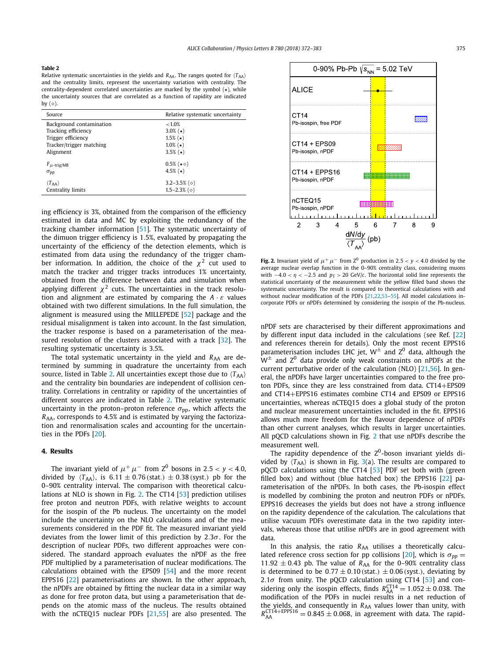#### <span id="page-3-0"></span>**Table 2**

Relative systematic uncertainties in the yields and  $R_{AA}$ . The ranges quoted for  $\langle T_{AA} \rangle$ and the centrality limits, represent the uncertainty variation with centrality. The centrality-dependent correlated uncertainties are marked by the symbol (*-*), while the uncertainty sources that are correlated as a function of rapidity are indicated by  $(\diamond)$ .

| Source                   | Relative systematic uncertainty |  |  |
|--------------------------|---------------------------------|--|--|
| Background contamination | <1.0%                           |  |  |
| Tracking efficiency      | 3.0% $(*)$                      |  |  |
| Trigger efficiency       | $1.5\%$ ( $\star$ )             |  |  |
| Tracker/trigger matching | $1.0\%$ ( $\star$ )             |  |  |
| Alignment                | 3.5% $(*)$                      |  |  |
| $F_{\mu\text{-trig/MB}}$ | $0.5\%$ ( $\star \diamond$ )    |  |  |
| $\sigma_{\text{pp}}$     | 4.5% $(*)$                      |  |  |
| $\langle T_{AA} \rangle$ | $3.2 - 3.5%$ ( $\diamond$ )     |  |  |
| Centrality limits        | $1.5 - 2.3%$ ( $\diamond$ )     |  |  |

ing efficiency is 3%, obtained from the comparison of the efficiency estimated in data and MC by exploiting the redundancy of the tracking chamber information [\[51\]](#page-6-0). The systematic uncertainty of the dimuon trigger efficiency is 1*.*5%, evaluated by propagating the uncertainty of the efficiency of the detection elements, which is estimated from data using the redundancy of the trigger chamber information. In addition, the choice of the  $\chi^2$  cut used to match the tracker and trigger tracks introduces 1% uncertainty, obtained from the difference between data and simulation when applying different  $\chi^2$  cuts. The uncertainties in the track resolution and alignment are estimated by comparing the *<sup>A</sup>* · *ε* values obtained with two different simulations. In the full simulation, the alignment is measured using the MILLEPEDE [\[52\]](#page-6-0) package and the residual misalignment is taken into account. In the fast simulation, the tracker response is based on a parameterisation of the mea-sured resolution of the clusters associated with a track [\[32\]](#page-6-0). The resulting systematic uncertainty is 3.5%.

The total systematic uncertainty in the yield and *R*<sub>AA</sub> are determined by summing in quadrature the uncertainty from each source, listed in Table 2. All uncertainties except those due to  $\langle T_{AA} \rangle$ and the centrality bin boundaries are independent of collision centrality. Correlations in centrality or rapidity of the uncertainties of different sources are indicated in Table 2. The relative systematic uncertainty in the proton–proton reference  $\sigma_{\text{pp}}$ , which affects the *R*<sub>AA</sub>, corresponds to 4.5% and is estimated by varying the factorization and renormalisation scales and accounting for the uncertainties in the PDFs [\[20\]](#page-5-0).

# **4. Results**

The invariant yield of  $\mu^+ \mu^-$  from Z<sup>0</sup> bosons in 2.5 < *y* < 4.0, divided by  $\langle T_{AA} \rangle$ , is  $6.11 \pm 0.76$  (stat.)  $\pm 0.38$  (syst.) pb for the 0–90% centrality interval. The comparison with theoretical calculations at NLO is shown in Fig. 2. The CT14 [\[53\]](#page-6-0) prediction utilises free proton and neutron PDFs, with relative weights to account for the isospin of the Pb nucleus. The uncertainty on the model include the uncertainty on the NLO calculations and of the measurements considered in the PDF fit. The measured invariant yield deviates from the lower limit of this prediction by 2*.*3*σ* . For the description of nuclear PDFs, two different approaches were considered. The standard approach evaluates the nPDF as the free PDF multiplied by a parameterisation of nuclear modifications. The calculations obtained with the EPS09 [\[54\]](#page-6-0) and the more recent EPPS16 [\[22\]](#page-5-0) parameterisations are shown. In the other approach, the nPDFs are obtained by fitting the nuclear data in a similar way as done for free proton data, but using a parameterisation that depends on the atomic mass of the nucleus. The results obtained with the nCTEQ15 nuclear PDFs [\[21,55\]](#page-5-0) are also presented. The



**Fig. 2.** Invariant yield of  $\mu^+ \mu^-$  from  $Z^0$  production in 2.5 < *y* < 4.0 divided by the average nuclear overlap function in the 0–90% centrality class, considering muons with  $-4.0 < \eta < -2.5$  and  $p_T > 20$  GeV/*c*. The horizontal solid line represents the statistical uncertainty of the measurement while the yellow filled band shows the systematic uncertainty. The result is compared to theoretical calculations with and without nuclear modification of the PDFs [\[21,22,53–](#page-5-0)[55\]](#page-6-0). All model calculations incorporate PDFs or nPDFs determined by considering the isospin of the Pb-nucleus.

nPDF sets are characterised by their different approximations and by different input data included in the calculations (see Ref. [\[22\]](#page-5-0) and references therein for details). Only the most recent EPPS16 parameterisation includes LHC jet,  $W^{\pm}$  and  $Z^{0}$  data, although the  $W^{\pm}$  and  $Z^{0}$  data provide only weak constraints on nPDFs at the current perturbative order of the calculation (NLO) [\[21,56\]](#page-5-0). In general, the nPDFs have larger uncertainties compared to the free proton PDFs, since they are less constrained from data. CT14+EPS09 and CT14+EPPS16 estimates combine CT14 and EPS09 or EPPS16 uncertainties, whereas nCTEQ15 does a global study of the proton and nuclear measurement uncertainties included in the fit. EPPS16 allows much more freedom for the flavour dependence of nPDFs than other current analyses, which results in larger uncertainties. All pQCD calculations shown in Fig. 2 that use nPDFs describe the measurement well.

The rapidity dependence of the  $Z^0$ -boson invariant yields divided by  $\langle T_{AA} \rangle$  is shown in Fig. [3\(](#page-4-0)a). The results are compared to pQCD calculations using the CT14 [\[53\]](#page-6-0) PDF set both with (green filled box) and without (blue hatched box) the EPPS16 [\[22\]](#page-5-0) parameterisation of the nPDFs. In both cases, the Pb-isospin effect is modelled by combining the proton and neutron PDFs or nPDFs. EPPS16 decreases the yields but does not have a strong influence on the rapidity dependence of the calculation. The calculations that utilise vacuum PDFs overestimate data in the two rapidity intervals, whereas those that utilise nPDFs are in good agreement with data.

In this analysis, the ratio  $R_{AA}$  utilises a theoretically calcu-lated reference cross section for pp collisions [\[20\]](#page-5-0), which is  $\sigma_{nn}$  = 11.92  $\pm$  0.43 pb. The value of  $R_{AA}$  for the 0–90% centrality class is determined to be  $0.77 \pm 0.10$  *(stat.)*  $\pm 0.06$  *(syst.)*, deviating by 2*.*1*σ* from unity. The pQCD calculation using CT14 [\[53\]](#page-6-0) and considering only the isospin effects, finds  $R_{AA}^{CT14} = 1.052 \pm 0.038$ . The modification of the PDFs in nuclei results in a net reduction of the yields, and consequently in *R*<sub>AA</sub> values lower than unity, with  $R_{\text{AA}}^{\text{CT14+EPPS16}} = 0.845 \pm 0.068$ , in agreement with data. The rapid-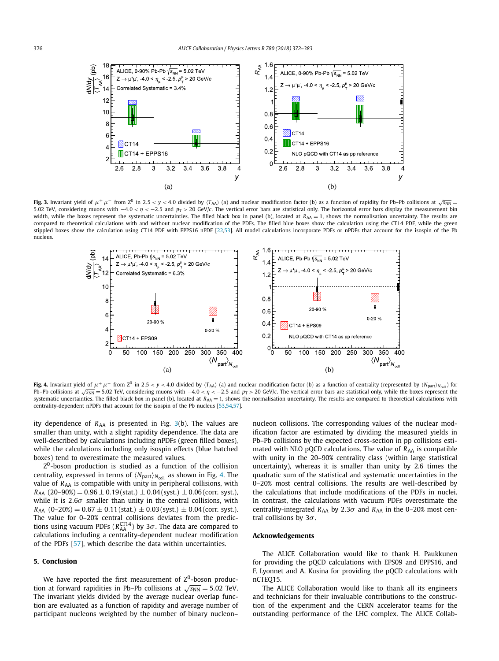<span id="page-4-0"></span>

Fig. 3. Invariant yield of  $\mu^+ \mu^-$  from  $Z^0$  in 2.5 < y < 4.0 divided by  $\langle T_{AA} \rangle$  (a) and nuclear modification factor (b) as a function of rapidity for Pb-Pb collisions at  $\sqrt{s_{NN}}$  = 5.02 TeV, considering muons with  $-4.0 < \eta < -2.5$  and  $p_T > 20$  GeV/c. The vertical error bars are statistical only. The horizontal error bars display the measurement bin width, while the boxes represent the systematic uncertainties. The filled black box in panel (b), located at  $R_{AA} = 1$ , shows the normalisation uncertainty. The results are compared to theoretical calculations with and without nuclear modification of the PDFs. The filled blue boxes show the calculation using the CT14 PDF, while the green stippled boxes show the calculation using CT14 PDF with EPPS16 nPDF [\[22,53\]](#page-5-0). All model calculations incorporate PDFs or nPDFs that account for the isospin of the Pb nucleus.



Fig. 4. Invariant yield of  $\mu^+ \mu^-$  from  $Z^0$  in 2.5 < y < 4.0 divided by  $\langle T_{AA} \rangle$  (a) and nuclear modification factor (b) as a function of centrality (represented by  $\langle N_{\text{part}} \rangle_{N_{\text{coll}}}$ ) for Pb-Pb collisions at  $\sqrt{s_{NN}}$  = 5.02 TeV, considering muons with -4.0 <  $\eta$  < -2.5 and  $p_T$  > 20 GeV/c. The vertical error bars are statistical only, while the boxes represent the systematic uncertainties. The filled black box in panel (b), located at  $R_{AA} = 1$ , shows the normalisation uncertainty. The results are compared to theoretical calculations with centrality-dependent nPDFs that account for the isospin of the Pb nucleus [\[53,54,57\]](#page-6-0).

ity dependence of *R*<sub>AA</sub> is presented in Fig. 3(b). The values are smaller than unity, with a slight rapidity dependence. The data are well-described by calculations including nPDFs (green filled boxes), while the calculations including only isospin effects (blue hatched boxes) tend to overestimate the measured values.

 $Z<sup>0</sup>$ -boson production is studied as a function of the collision centrality, expressed in terms of  $\langle N_{\text{part}}\rangle_{N_{\text{coll}}}$  as shown in Fig. 4. The value of *R*<sub>AA</sub> is compatible with unity in peripheral collisions, with  $R_{AA}$  (20–90%) = 0.96  $\pm$  0.19 (stat.)  $\pm$  0.04 (syst.)  $\pm$  0.06 (corr. syst.), while it is 2*.*6*σ* smaller than unity in the central collisions, with  $R_{AA}$  (0–20%) = 0.67  $\pm$  0.11 (stat.)  $\pm$  0.03 (syst.)  $\pm$  0.04 (corr. syst.). The value for 0–20% central collisions deviates from the predictions using vacuum PDFs ( $R_{\text{AA}}^{\text{CT14}}$ ) by 3 $\sigma$ . The data are compared to calculations including a centrality-dependent nuclear modification of the PDFs [\[57\]](#page-6-0), which describe the data within uncertainties.

# **5. Conclusion**

We have reported the first measurement of  $Z^0$ -boson production at forward rapidities in Pb–Pb collisions at  $\sqrt{s_{NN}} = 5.02$  TeV. The invariant yields divided by the average nuclear overlap function are evaluated as a function of rapidity and average number of participant nucleons weighted by the number of binary nucleon–

nucleon collisions. The corresponding values of the nuclear modification factor are estimated by dividing the measured yields in Pb–Pb collisions by the expected cross-section in pp collisions estimated with NLO pQCD calculations. The value of R<sub>AA</sub> is compatible with unity in the 20–90% centrality class (within large statistical uncertainty), whereas it is smaller than unity by 2.6 times the quadratic sum of the statistical and systematic uncertainties in the 0–20% most central collisions. The results are well-described by the calculations that include modifications of the PDFs in nuclei. In contrast, the calculations with vacuum PDFs overestimate the centrality-integrated  $R_{AA}$  by 2.3 $\sigma$  and  $R_{AA}$  in the 0–20% most central collisions by 3*σ* .

## **Acknowledgements**

The ALICE Collaboration would like to thank H. Paukkunen for providing the pQCD calculations with EPS09 and EPPS16, and F. Lyonnet and A. Kusina for providing the pQCD calculations with nCTEQ15.

The ALICE Collaboration would like to thank all its engineers and technicians for their invaluable contributions to the construction of the experiment and the CERN accelerator teams for the outstanding performance of the LHC complex. The ALICE Collab-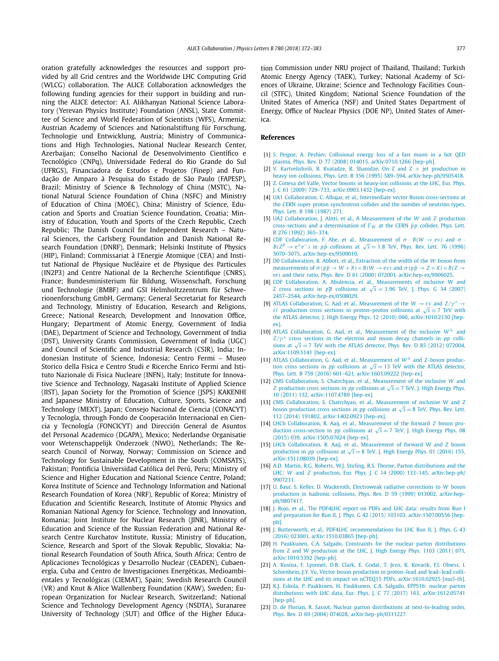<span id="page-5-0"></span>oration gratefully acknowledges the resources and support provided by all Grid centres and the Worldwide LHC Computing Grid (WLCG) collaboration. The ALICE Collaboration acknowledges the following funding agencies for their support in building and running the ALICE detector: A.I. Alikhanyan National Science Laboratory (Yerevan Physics Institute) Foundation (ANSL), State Committee of Science and World Federation of Scientists (WFS), Armenia; Austrian Academy of Sciences and Nationalstiftung für Forschung, Technologie und Entwicklung, Austria; Ministry of Communications and High Technologies, National Nuclear Research Center, Azerbaijan; Conselho Nacional de Desenvolvimento Científico e Tecnológico (CNPq), Universidade Federal do Rio Grande do Sul (UFRGS), Financiadora de Estudos e Projetos (Finep) and Fundação de Amparo à Pesquisa do Estado de São Paulo (FAPESP), Brazil; Ministry of Science & Technology of China (MSTC), National Natural Science Foundation of China (NSFC) and Ministry of Education of China (MOEC), China; Ministry of Science, Education and Sports and Croatian Science Foundation, Croatia; Ministry of Education, Youth and Sports of the Czech Republic, Czech Republic; The Danish Council for Independent Research – Natural Sciences, the Carlsberg Foundation and Danish National Research Foundation (DNRF), Denmark; Helsinki Institute of Physics (HIP), Finland; Commissariat à l'Energie Atomique (CEA) and Institut National de Physique Nucléaire et de Physique des Particules (IN2P3) and Centre National de la Recherche Scientifique (CNRS), France; Bundesministerium für Bildung, Wissenschaft, Forschung und Technologie (BMBF) and GSI Helmholtzzentrum für Schwerionenforschung GmbH, Germany; General Secretariat for Research and Technology, Ministry of Education, Research and Religions, Greece; National Research, Development and Innovation Office, Hungary; Department of Atomic Energy, Government of India (DAE), Department of Science and Technology, Government of India (DST), University Grants Commission, Government of India (UGC) and Council of Scientific and Industrial Research (CSIR), India; Indonesian Institute of Science, Indonesia; Centro Fermi – Museo Storico della Fisica e Centro Studi e Ricerche Enrico Fermi and Istituto Nazionale di Fisica Nucleare (INFN), Italy; Institute for Innovative Science and Technology, Nagasaki Institute of Applied Science (IIST), Japan Society for the Promotion of Science (JSPS) KAKENHI and Japanese Ministry of Education, Culture, Sports, Science and Technology (MEXT), Japan; Consejo Nacional de Ciencia (CONACYT) y Tecnología, through Fondo de Cooperación Internacional en Ciencia y Tecnología (FONCICYT) and Dirección General de Asuntos del Personal Academico (DGAPA), Mexico; Nederlandse Organisatie voor Wetenschappelijk Onderzoek (NWO), Netherlands; The Research Council of Norway, Norway; Commission on Science and Technology for Sustainable Development in the South (COMSATS), Pakistan; Pontificia Universidad Católica del Perú, Peru; Ministry of Science and Higher Education and National Science Centre, Poland; Korea Institute of Science and Technology Information and National Research Foundation of Korea (NRF), Republic of Korea; Ministry of Education and Scientific Research, Institute of Atomic Physics and Romanian National Agency for Science, Technology and Innovation, Romania; Joint Institute for Nuclear Research (JINR), Ministry of Education and Science of the Russian Federation and National Research Centre Kurchatov Institute, Russia; Ministry of Education, Science, Research and Sport of the Slovak Republic, Slovakia; National Research Foundation of South Africa, South Africa; Centro de Aplicaciones Tecnológicas y Desarrollo Nuclear (CEADEN), Cubaenergía, Cuba and Centro de Investigaciones Energéticas, Medioambientales y Tecnológicas (CIEMAT), Spain; Swedish Research Council (VR) and Knut & Alice Wallenberg Foundation (KAW), Sweden; European Organization for Nuclear Research, Switzerland; National Science and Technology Development Agency (NSDTA), Suranaree University of Technology (SUT) and Office of the Higher Education Commission under NRU project of Thailand, Thailand; Turkish Atomic Energy Agency (TAEK), Turkey; National Academy of Sciences of Ukraine, Ukraine; Science and Technology Facilities Council (STFC), United Kingdom; National Science Foundation of the United States of America (NSF) and United States Department of Energy, Office of Nuclear Physics (DOE NP), United States of America.

#### **References**

- [1] S. Peigne, A. Peshier, [Collisional](http://refhub.elsevier.com/S0370-2693(18)30197-7/bib506569676E653A323030377364s1) energy loss of a fast muon in a hot QED plasma, Phys. Rev. D 77 (2008) 014015, [arXiv:0710.1266 \[hep-ph\].](http://refhub.elsevier.com/S0370-2693(18)30197-7/bib506569676E653A323030377364s1)
- [2] V. [Kartvelishvili,](http://refhub.elsevier.com/S0370-2693(18)30197-7/bib4B61727476656C69736876696C693A313939356672s1) R. Kvatadze, R. Shanidze, On Z and Z + jet production in heavy ion collisions, Phys. Lett. B 356 (1995) 589–594, [arXiv:hep-ph/9505418.](http://refhub.elsevier.com/S0370-2693(18)30197-7/bib4B61727476656C69736876696C693A313939356672s1)
- [3] Z. Conesa del Valle, Vector bosons in [heavy-ion](http://refhub.elsevier.com/S0370-2693(18)30197-7/bib436F6E65736164656C56616C6C653A323030397670s1) collisions at the LHC, Eur. Phys. J. C 61 (2009) 729–733, [arXiv:0903.1432 \[hep-ex\].](http://refhub.elsevier.com/S0370-2693(18)30197-7/bib436F6E65736164656C56616C6C653A323030397670s1)
- [4] UA1 Collaboration, C. Albajar, et al., Intermediate vector Boson [cross-sections](http://refhub.elsevier.com/S0370-2693(18)30197-7/bib416C62616A61723A31393837797As1) at the CERN super proton [synchrotron](http://refhub.elsevier.com/S0370-2693(18)30197-7/bib416C62616A61723A31393837797As1) collider and the number of neutrino types, Phys. Lett. B 198 [\(1987\)](http://refhub.elsevier.com/S0370-2693(18)30197-7/bib416C62616A61723A31393837797As1) 271.
- [5] UA2 [Collaboration,](http://refhub.elsevier.com/S0370-2693(18)30197-7/bib416C697474693A31393931646Ds1) J. Alitti, et al., A Measurement of the *W* and *Z* production cross-sections and a [determination](http://refhub.elsevier.com/S0370-2693(18)30197-7/bib416C697474693A31393931646Ds1) of  $\Gamma_W$  at the CERN  $\bar{p}p$  collider, Phys. Lett. B 276 (1992) [365–374.](http://refhub.elsevier.com/S0370-2693(18)30197-7/bib416C697474693A31393931646Ds1)
- [6] CDF [Collaboration,](http://refhub.elsevier.com/S0370-2693(18)30197-7/bib4162653A31393935626Ds1) F. Abe, et al., Measurement of  $\sigma \cdot B(W \rightarrow e \nu)$  and  $\sigma$  $B(Z^0 \rightarrow e^+e^-)$  in *pp* [collisions](http://refhub.elsevier.com/S0370-2693(18)30197-7/bib4162653A31393935626Ds1) at  $\sqrt{s} = 1.8$  TeV, Phys. Rev. Lett. 76 (1996) 3070–3075, [arXiv:hep-ex/9509010.](http://refhub.elsevier.com/S0370-2693(18)30197-7/bib4162653A31393935626Ds1)
- [7] D0 [Collaboration,](http://refhub.elsevier.com/S0370-2693(18)30197-7/bib4162626F74743A313939397474s1) B. Abbott, et al., Extraction of the width of the *W* boson from [measurements](http://refhub.elsevier.com/S0370-2693(18)30197-7/bib4162626F74743A313939397474s1) of  $\sigma$  ( $p\bar{p}$   $\rightarrow$  *W* + *X*)  $\times$  *B*(*W*  $\rightarrow$  *ev*) and  $\sigma$  ( $p\bar{p}$   $\rightarrow$  *Z* + *X*)  $\times$  *B*(*Z*  $\rightarrow$ *ee)* and their ratio, Phys. Rev. D 61 (2000) 072001, [arXiv:hep-ex/9906025.](http://refhub.elsevier.com/S0370-2693(18)30197-7/bib4162626F74743A313939397474s1)
- [8] CDF Collaboration, A. Abulencia, et al., [Measurements](http://refhub.elsevier.com/S0370-2693(18)30197-7/bib4162756C656E6369613A323030356978s1) of inclusive W and Z cross sections in  $p\bar{p}$  [collisions](http://refhub.elsevier.com/S0370-2693(18)30197-7/bib4162756C656E6369613A323030356978s1) at  $\sqrt{s} = 1.96$  TeV, J. Phys. G 34 (2007) 2457–2544, [arXiv:hep-ex/0508029.](http://refhub.elsevier.com/S0370-2693(18)30197-7/bib4162756C656E6369613A323030356978s1)
- [9] ATLAS [Collaboration,](http://refhub.elsevier.com/S0370-2693(18)30197-7/bib4161643A323031307974s1) G. Aad, et al., Measurement of the *<sup>W</sup>* → *ν* and *<sup>Z</sup>/γ* <sup>∗</sup> →  $\ell\ell$  production cross sections in [proton–proton](http://refhub.elsevier.com/S0370-2693(18)30197-7/bib4161643A323031307974s1) collisions at  $\sqrt{s} = 7$  [TeV with](http://refhub.elsevier.com/S0370-2693(18)30197-7/bib4161643A323031307974s1) the ATLAS detector, J. High Energy Phys. 12 (2010) 060, [arXiv:1010.2130 \[hep](http://refhub.elsevier.com/S0370-2693(18)30197-7/bib4161643A323031307974s1)[ex\].](http://refhub.elsevier.com/S0370-2693(18)30197-7/bib4161643A323031307974s1)
- [10] ATLAS [Collaboration,](http://refhub.elsevier.com/S0370-2693(18)30197-7/bib4161643A32303131646Ds1) G. Aad, et al., Measurement of the inclusive *W*± and *Z/γ* <sup>∗</sup> cross sections in the electron and muon decay [channels](http://refhub.elsevier.com/S0370-2693(18)30197-7/bib4161643A32303131646Ds1) in *pp* collisions at  $\sqrt{s}$  = 7 TeV with the ATLAS [detector,](http://refhub.elsevier.com/S0370-2693(18)30197-7/bib4161643A32303131646Ds1) Phys. Rev. D 85 (2012) 072004, [arXiv:1109.5141 \[hep-ex\].](http://refhub.elsevier.com/S0370-2693(18)30197-7/bib4161643A32303131646Ds1)
- [11] ATLAS [Collaboration,](http://refhub.elsevier.com/S0370-2693(18)30197-7/bib4161643A323031366E6166s1) G. Aad, et al., Measurement of *W*± and *Z* -boson production cross sections in *pp* [collisions](http://refhub.elsevier.com/S0370-2693(18)30197-7/bib4161643A323031366E6166s1) at  $\sqrt{s} = 13$  TeV with the ATLAS detector, Phys. Lett. B 759 (2016) 601–621, [arXiv:1603.09222 \[hep-ex\].](http://refhub.elsevier.com/S0370-2693(18)30197-7/bib4161643A323031366E6166s1)
- [12] CMS [Collaboration,](http://refhub.elsevier.com/S0370-2693(18)30197-7/bib434D533A323031316161s1) S. Chatrchyan, et al., Measurement of the inclusive *W* and *Z* [production](http://refhub.elsevier.com/S0370-2693(18)30197-7/bib434D533A323031316161s1) cross sections in *pp* collisions at √*s* = 7 TeV, J. High Energy Phys. 10 (2011) 132, [arXiv:1107.4789 \[hep-ex\].](http://refhub.elsevier.com/S0370-2693(18)30197-7/bib434D533A323031316161s1)
- [13] CMS [Collaboration,](http://refhub.elsevier.com/S0370-2693(18)30197-7/bib4368617472636879616E3A323031346D7561s1) S. Chatrchyan, et al., Measurement of inclusive W and Z boson [production](http://refhub.elsevier.com/S0370-2693(18)30197-7/bib4368617472636879616E3A323031346D7561s1) cross sections in pp collisions at  $\sqrt{s} = 8$  TeV, Phys. Rev. Lett. 112 (2014) 191802, [arXiv:1402.0923 \[hep-ex\].](http://refhub.elsevier.com/S0370-2693(18)30197-7/bib4368617472636879616E3A323031346D7561s1)
- [14] LHCb [Collaboration,](http://refhub.elsevier.com/S0370-2693(18)30197-7/bib4161696A3A32303135676E61s1) R. Aaij, et al., Measurement of the forward *Z* boson production [cross-section](http://refhub.elsevier.com/S0370-2693(18)30197-7/bib4161696A3A32303135676E61s1) in *pp* collisions at  $\sqrt{s} = 7$  TeV, J. High Energy Phys. 08 (2015) 039, [arXiv:1505.07024 \[hep-ex\].](http://refhub.elsevier.com/S0370-2693(18)30197-7/bib4161696A3A32303135676E61s1)
- [15] LHCb [Collaboration,](http://refhub.elsevier.com/S0370-2693(18)30197-7/bib4161696A3A323031357A6C71s1) R. Aaij, et al., Measurement of forward W and Z boson [production](http://refhub.elsevier.com/S0370-2693(18)30197-7/bib4161696A3A323031357A6C71s1) in *pp* collisions at  $\sqrt{s} = 8$  TeV, J. High Energy Phys. 01 (2016) 155, [arXiv:1511.08039 \[hep-ex\].](http://refhub.elsevier.com/S0370-2693(18)30197-7/bib4161696A3A323031357A6C71s1)
- [16] A.D. Martin, R.G. Roberts, W.J. Stirling, R.S. Thorne, Parton [distributions](http://refhub.elsevier.com/S0370-2693(18)30197-7/bib4D617274696E3A313939397777s1) and the LHC: *W* and *Z* production, Eur. Phys. J. C 14 (2000) 133–145, [arXiv:hep-ph/](http://refhub.elsevier.com/S0370-2693(18)30197-7/bib4D617274696E3A313939397777s1) [9907231.](http://refhub.elsevier.com/S0370-2693(18)30197-7/bib4D617274696E3A313939397777s1)
- [17] U. Baur, S. Keller, D. Wackeroth, [Electroweak](http://refhub.elsevier.com/S0370-2693(18)30197-7/bib426175723A313939386B74s1) radiative corrections to *W* boson [production](http://refhub.elsevier.com/S0370-2693(18)30197-7/bib426175723A313939386B74s1) in hadronic collisions, Phys. Rev. D 59 (1999) 013002, arXiv:hep[ph/9807417.](http://refhub.elsevier.com/S0370-2693(18)30197-7/bib426175723A313939386B74s1)
- [18] J. Rojo, et al., The [PDF4LHC](http://refhub.elsevier.com/S0370-2693(18)30197-7/bib526F6A6F3A3230313561637As1) report on PDFs and LHC data: results from Run I and preparation for Run II, J. Phys. G 42 (2015) 103103, [arXiv:1507.00556 \[hep](http://refhub.elsevier.com/S0370-2693(18)30197-7/bib526F6A6F3A3230313561637As1)[ph\].](http://refhub.elsevier.com/S0370-2693(18)30197-7/bib526F6A6F3A3230313561637As1)
- [19] J. Butterworth, et al., PDF4LHC [recommendations](http://refhub.elsevier.com/S0370-2693(18)30197-7/bib427574746572776F7274683A323031356F7561s1) for LHC Run II, J. Phys. G 43 (2016) 023001, [arXiv:1510.03865 \[hep-ph\].](http://refhub.elsevier.com/S0370-2693(18)30197-7/bib427574746572776F7274683A323031356F7561s1)
- [20] H. Paukkunen, C.A. Salgado, Constraints for the nuclear parton [distributions](http://refhub.elsevier.com/S0370-2693(18)30197-7/bib5061756B6B756E656E3A323031307167s1) from Z and W [production](http://refhub.elsevier.com/S0370-2693(18)30197-7/bib5061756B6B756E656E3A323031307167s1) at the LHC, J. High Energy Phys. 1103 (2011) 071, [arXiv:1010.5392 \[hep-ph\].](http://refhub.elsevier.com/S0370-2693(18)30197-7/bib5061756B6B756E656E3A323031307167s1)
- [21] A. Kusina, F. [Lyonnet,](http://refhub.elsevier.com/S0370-2693(18)30197-7/bib4B7573696E613A32303136667879s1) D.B. Clark, E. Godat, T. Jezo, K. Kovarik, F.I. Olness, I. Schienbein, J.Y. Yu, Vector boson production in [proton–lead](http://refhub.elsevier.com/S0370-2693(18)30197-7/bib4B7573696E613A32303136667879s1) and lead–lead collisions at the LHC and its impact on nCTEQ15 PDFs, [arXiv:1610.02925 \[nucl-th\].](http://refhub.elsevier.com/S0370-2693(18)30197-7/bib4B7573696E613A32303136667879s1)
- [22] K.J. Eskola, P. Paakkinen, H. [Paukkunen,](http://refhub.elsevier.com/S0370-2693(18)30197-7/bib45736B6F6C613A323031366F6874s1) C.A. Salgado, EPPS16: nuclear parton distributions with LHC data, Eur. Phys. J. C 77 (2017) 163, [arXiv:1612.05741](http://refhub.elsevier.com/S0370-2693(18)30197-7/bib45736B6F6C613A323031366F6874s1) [\[hep-ph\].](http://refhub.elsevier.com/S0370-2693(18)30197-7/bib45736B6F6C613A323031366F6874s1)
- [23] D. de Florian, R. Sassot, Nuclear parton distributions at [next-to-leading](http://refhub.elsevier.com/S0370-2693(18)30197-7/bib6465466C6F7269616E3A323030337166s1) order, Phys. Rev. D 69 (2004) 074028, [arXiv:hep-ph/0311227.](http://refhub.elsevier.com/S0370-2693(18)30197-7/bib6465466C6F7269616E3A323030337166s1)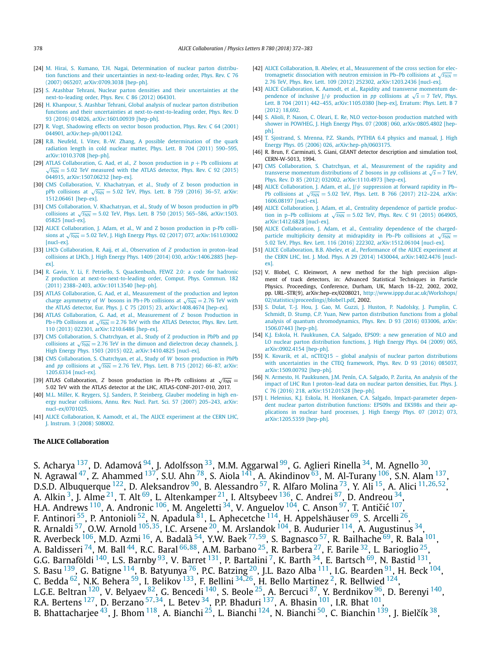- <span id="page-6-0"></span>[24] M. Hirai, S. Kumano, T.H. Nagai, [Determination](http://refhub.elsevier.com/S0370-2693(18)30197-7/bib48697261693A323030377378s1) of nuclear parton distribution functions and their uncertainties in [next-to-leading](http://refhub.elsevier.com/S0370-2693(18)30197-7/bib48697261693A323030377378s1) order, Phys. Rev. C 76 (2007) 065207, [arXiv:0709.3038 \[hep-ph\].](http://refhub.elsevier.com/S0370-2693(18)30197-7/bib48697261693A323030377378s1)
- [25] S. Atashbar Tehrani, Nuclear parton densities and their [uncertainties](http://refhub.elsevier.com/S0370-2693(18)30197-7/bib417461736862617254656872616E693A323031327868s1) at the [next-to-leading](http://refhub.elsevier.com/S0370-2693(18)30197-7/bib417461736862617254656872616E693A323031327868s1) order, Phys. Rev. C 86 (2012) 064301.
- [26] H. Khanpour, S. Atashbar Tehrani, Global analysis of nuclear parton [distribution](http://refhub.elsevier.com/S0370-2693(18)30197-7/bib4B68616E706F75723A32303136707068s1) functions and their uncertainties at [next-to-next-to-leading](http://refhub.elsevier.com/S0370-2693(18)30197-7/bib4B68616E706F75723A32303136707068s1) order, Phys. Rev. D 93 (2016) 014026, [arXiv:1601.00939 \[hep-ph\].](http://refhub.elsevier.com/S0370-2693(18)30197-7/bib4B68616E706F75723A32303136707068s1)
- [27] R. Vogt, Shadowing effects on vector boson [production,](http://refhub.elsevier.com/S0370-2693(18)30197-7/bib566F67743A323030306870s1) Phys. Rev. C 64 (2001) 044901, [arXiv:hep-ph/0011242.](http://refhub.elsevier.com/S0370-2693(18)30197-7/bib566F67743A323030306870s1)
- [28] R.B. Neufeld, I. Vitev, B.-W. Zhang, A possible [determination](http://refhub.elsevier.com/S0370-2693(18)30197-7/bib4E657566656C643A32303130647As1) of the quark radiation length in cold nuclear matter, Phys. Lett. B 704 (2011) [590–595,](http://refhub.elsevier.com/S0370-2693(18)30197-7/bib4E657566656C643A32303130647As1) [arXiv:1010.3708 \[hep-ph\].](http://refhub.elsevier.com/S0370-2693(18)30197-7/bib4E657566656C643A32303130647As1)
- [29] [AT](http://refhub.elsevier.com/S0370-2693(18)30197-7/bib4161643A32303135677461s1)LAS Collaboration, G. Aad, et al., *Z* boson production in *p* + Pb collisions at  $\sqrt{s_{NN}}$  = 5.02 [TeV](http://refhub.elsevier.com/S0370-2693(18)30197-7/bib4161643A32303135677461s1) [measured](http://refhub.elsevier.com/S0370-2693(18)30197-7/bib4161643A32303135677461s1) with the ATLAS detector, Phys. Rev. C 92 (2015) 044915, [arXiv:1507.06232 \[hep-ex\].](http://refhub.elsevier.com/S0370-2693(18)30197-7/bib4161643A32303135677461s1)
- [30] CMS [Collaboration,](http://refhub.elsevier.com/S0370-2693(18)30197-7/bib4B6861636861747279616E3A32303135707A73s1) V. Khachatryan, et al., Study of Z boson production in pPb [collisions](http://refhub.elsevier.com/S0370-2693(18)30197-7/bib4B6861636861747279616E3A32303135707A73s1) at  $\sqrt{s_{NN}}$  = 5.02 TeV, Phys. Lett. B 759 (2016) 36–57, arXiv: [1512.06461 \[hep-ex\].](http://refhub.elsevier.com/S0370-2693(18)30197-7/bib4B6861636861747279616E3A32303135707A73s1)
- [31] CMS [Collaboration,](http://refhub.elsevier.com/S0370-2693(18)30197-7/bib4B6861636861747279616E3A32303135686861s1) V. Khachatryan, et al., Study of W boson production in pPb collisions at  $\sqrt{s_{NN}}$  = 5.02 TeV, Phys. Lett. B 750 (2015) 565–586, [arXiv:1503.](http://refhub.elsevier.com/S0370-2693(18)30197-7/bib4B6861636861747279616E3A32303135686861s1) [05825 \[nucl-ex\].](http://refhub.elsevier.com/S0370-2693(18)30197-7/bib4B6861636861747279616E3A32303135686861s1)
- [32] ALICE [Collaboration,](http://refhub.elsevier.com/S0370-2693(18)30197-7/bib416C6963653A32303136776B61s1) J. Adam, et al., W and Z boson production in p-Pb collisions at √<sup>*s*<sub>NN</sub></sup> = 5.02 TeV, J. High Energy Phys. 02 (2017) 077, [arXiv:1611.03002](http://refhub.elsevier.com/S0370-2693(18)30197-7/bib416C6963653A32303136776B61s1) [\[nucl-ex\].](http://refhub.elsevier.com/S0370-2693(18)30197-7/bib416C6963653A32303136776B61s1)
- [33] LHCb [Collaboration,](http://refhub.elsevier.com/S0370-2693(18)30197-7/bib4161696A3A32303134707675s1) R. Aaij, et al., Observation of *Z* production in proton–lead collisions at LHCb, J. High Energy Phys. 1409 (2014) 030, [arXiv:1406.2885 \[hep](http://refhub.elsevier.com/S0370-2693(18)30197-7/bib4161696A3A32303134707675s1)[ex\].](http://refhub.elsevier.com/S0370-2693(18)30197-7/bib4161696A3A32303134707675s1)
- [34] R. Gavin, Y. Li, F. Petriello, S. [Quackenbush,](http://refhub.elsevier.com/S0370-2693(18)30197-7/bib476176696E3A32303130617As1) FEWZ 2.0: a code for hadronic Z production at [next-to-next-to-leading](http://refhub.elsevier.com/S0370-2693(18)30197-7/bib476176696E3A32303130617As1) order, Comput. Phys. Commun. 182 (2011) 2388–2403, [arXiv:1011.3540 \[hep-ph\].](http://refhub.elsevier.com/S0370-2693(18)30197-7/bib476176696E3A32303130617As1)
- [35] ATLAS [Collaboration,](http://refhub.elsevier.com/S0370-2693(18)30197-7/bib4161643A32303134626861s1) G. Aad, et al., Measurement of the production and lepton charge [asymmetry](http://refhub.elsevier.com/S0370-2693(18)30197-7/bib4161643A32303134626861s1) of *W* bosons in Pb+Pb collisions at  $\sqrt{s_{NN}} = 2.76$  TeV with the ATLAS detector, Eur. Phys. J. C 75 (2015) 23, [arXiv:1408.4674 \[hep-ex\].](http://refhub.elsevier.com/S0370-2693(18)30197-7/bib4161643A32303134626861s1)
- [36] ATLAS [Collaboration,](http://refhub.elsevier.com/S0370-2693(18)30197-7/bib4161643A323031326577s1) G. Aad, et al., Measurement of *Z* boson Production in Pb+Pb [Collisions](http://refhub.elsevier.com/S0370-2693(18)30197-7/bib4161643A323031326577s1) at  $\sqrt{s_{NN}}$  = 2.76 TeV with the ATLAS Detector, Phys. Rev. Lett. 110 (2013) 022301, [arXiv:1210.6486 \[hep-ex\].](http://refhub.elsevier.com/S0370-2693(18)30197-7/bib4161643A323031326577s1)
- [37] CMS [Collaboration,](http://refhub.elsevier.com/S0370-2693(18)30197-7/bib4368617472636879616E3A32303134637361s1) S. Chatrchyan, et al., Study of Z production in PbPb and pp collisions at  $\sqrt{s_{NN}}$  = 2.76 TeV in the dimuon and [dielectron](http://refhub.elsevier.com/S0370-2693(18)30197-7/bib4368617472636879616E3A32303134637361s1) decay channels, J. High Energy Phys. 1503 (2015) 022, [arXiv:1410.4825 \[nucl-ex\].](http://refhub.elsevier.com/S0370-2693(18)30197-7/bib4368617472636879616E3A32303134637361s1)
- [38] CMS [Collaboration,](http://refhub.elsevier.com/S0370-2693(18)30197-7/bib4368617472636879616E3A323031326E74s1) S. Chatrchyan, et al., Study of *W* boson production in PbPb and *pp* [collisions](http://refhub.elsevier.com/S0370-2693(18)30197-7/bib4368617472636879616E3A323031326E74s1) at  $\sqrt{s_{NN}}$  = 2.76 TeV, Phys. Lett. B 715 (2012) 66–87, arXiv: [1205.6334 \[nucl-ex\].](http://refhub.elsevier.com/S0370-2693(18)30197-7/bib4368617472636879616E3A323031326E74s1)
- [39] ATLAS Collaboration, *Z* boson production in Pb+Pb collisions at  $\sqrt{s_{NN}}$  = 5*.*02 TeV with the ATLAS detector at the LHC, ATLAS-CONF-2017-010, 2017.
- [40] M.L. Miller, K. Reygers, S.J. Sanders, P. [Steinberg,](http://refhub.elsevier.com/S0370-2693(18)30197-7/bib4D696C6C65723A323030377269s1) Glauber modeling in high energy nuclear [collisions,](http://refhub.elsevier.com/S0370-2693(18)30197-7/bib4D696C6C65723A323030377269s1) Annu. Rev. Nucl. Part. Sci. 57 (2007) 205–243, arXiv: [nucl-ex/0701025.](http://refhub.elsevier.com/S0370-2693(18)30197-7/bib4D696C6C65723A323030377269s1)
- [41] ALICE [Collaboration,](http://refhub.elsevier.com/S0370-2693(18)30197-7/bib41616D6F64743A323030387A7As1) K. Aamodt, et al., The ALICE experiment at the CERN LHC, J. [Instrum.](http://refhub.elsevier.com/S0370-2693(18)30197-7/bib41616D6F64743A323030387A7As1) 3 (2008) S08002.

# **The ALICE Collaboration**

- [42] ALICE [Collaboration,](http://refhub.elsevier.com/S0370-2693(18)30197-7/bib414C4943453A323031326161s1) B. Abelev, et al., Measurement of the cross section for elec[tromagnetic](http://refhub.elsevier.com/S0370-2693(18)30197-7/bib414C4943453A323031326161s1) dissociation with neutron emission in Pb–Pb collisions at  $\sqrt{s_{NN}}$  = 2*.*76 TeV, Phys. Rev. Lett. 109 (2012) 252302, [arXiv:1203.2436 \[nucl-ex\].](http://refhub.elsevier.com/S0370-2693(18)30197-7/bib414C4943453A323031326161s1)
- [43] ALICE [Collaboration,](http://refhub.elsevier.com/S0370-2693(18)30197-7/bib41616D6F64743A32303131676As1) K. Aamodt, et al., Rapidity and transverse momentum dependence of inclusive  $J/\psi$  [production](http://refhub.elsevier.com/S0370-2693(18)30197-7/bib41616D6F64743A32303131676As1) in *pp* collisions at  $\sqrt{s} = 7$  TeV, Phys. Lett. B 704 (2011) 442–455, [arXiv:1105.0380 \[hep-ex\],](http://refhub.elsevier.com/S0370-2693(18)30197-7/bib41616D6F64743A32303131676As1) Erratum: Phys. Lett. B 7 (2012) [18,692.](http://refhub.elsevier.com/S0370-2693(18)30197-7/bib41616D6F64743A32303131676As1)
- [44] S. Alioli, P. Nason, C. Oleari, E. Re, NLO [vector-boson](http://refhub.elsevier.com/S0370-2693(18)30197-7/bib416C696F6C693A323030386778s1) production matched with shower in POWHEG, J. High Energy Phys. 07 (2008) 060, [arXiv:0805.4802 \[hep](http://refhub.elsevier.com/S0370-2693(18)30197-7/bib416C696F6C693A323030386778s1)[ph\].](http://refhub.elsevier.com/S0370-2693(18)30197-7/bib416C696F6C693A323030386778s1)
- [45] T. [Sjostrand,](http://refhub.elsevier.com/S0370-2693(18)30197-7/bib536A6F737472616E643A323030367A61s1) S. Mrenna, P.Z. Skands, PYTHIA 6.4 physics and manual, J. High Energy Phys. 05 (2006) 026, [arXiv:hep-ph/0603175.](http://refhub.elsevier.com/S0370-2693(18)30197-7/bib536A6F737472616E643A323030367A61s1)
- [46] R. Brun, F. Carminati, S. Giani, GEANT detector description and simulation tool, CERN-W-5013, 1994.
- [47] CMS [Collaboration,](http://refhub.elsevier.com/S0370-2693(18)30197-7/bib4368617472636879616E3A323031317774s1) S. Chatrchyan, et al., Measurement of the rapidity and transverse momentum [distributions](http://refhub.elsevier.com/S0370-2693(18)30197-7/bib4368617472636879616E3A323031317774s1) of *Z* bosons in *pp* collisions at  $\sqrt{s} = 7$  TeV, Phys. Rev. D 85 (2012) 032002, [arXiv:1110.4973 \[hep-ex\].](http://refhub.elsevier.com/S0370-2693(18)30197-7/bib4368617472636879616E3A323031317774s1)
- [48] ALICE [Collaboration,](http://refhub.elsevier.com/S0370-2693(18)30197-7/bib4164616D3A32303136726467s1) J. Adam, et al., J/*ψ* suppression at forward rapidity in Pb– Pb [collisions](http://refhub.elsevier.com/S0370-2693(18)30197-7/bib4164616D3A32303136726467s1) at  $\sqrt{s_{NN}}$  = 5.02 TeV, Phys. Lett. B 766 (2017) 212–224, arXiv: [1606.08197 \[nucl-ex\].](http://refhub.elsevier.com/S0370-2693(18)30197-7/bib4164616D3A32303136726467s1)
- [49] ALICE [Collaboration,](http://refhub.elsevier.com/S0370-2693(18)30197-7/bib4164616D3A32303134716A61s1) J. Adam, et al., Centrality dependence of particle production in p–Pb [collisions](http://refhub.elsevier.com/S0370-2693(18)30197-7/bib4164616D3A32303134716A61s1) at  $\sqrt{s_{NN}}$  = 5.02 TeV, Phys. Rev. C 91 (2015) 064905, [arXiv:1412.6828 \[nucl-ex\].](http://refhub.elsevier.com/S0370-2693(18)30197-7/bib4164616D3A32303134716A61s1)
- [50] ALICE [Collaboration,](http://refhub.elsevier.com/S0370-2693(18)30197-7/bib4164616D3A32303135707474s1) J. Adam, et al., Centrality dependence of the chargedparticle multiplicity density at [midrapidity](http://refhub.elsevier.com/S0370-2693(18)30197-7/bib4164616D3A32303135707474s1) in Pb–Pb collisions at  $\sqrt{s_{NN}}$  = 5*.*02 TeV, Phys. Rev. Lett. 116 (2016) 222302, [arXiv:1512.06104 \[nucl-ex\].](http://refhub.elsevier.com/S0370-2693(18)30197-7/bib4164616D3A32303135707474s1)
- [51] ALICE [Collaboration,](http://refhub.elsevier.com/S0370-2693(18)30197-7/bib4162656C65763A32303134666661s1) B.B. Abelev, et al., Performance of the ALICE experiment at the CERN LHC, Int. J. Mod. Phys. A 29 (2014) 1430044, [arXiv:1402.4476 \[nucl](http://refhub.elsevier.com/S0370-2693(18)30197-7/bib4162656C65763A32303134666661s1)[ex\].](http://refhub.elsevier.com/S0370-2693(18)30197-7/bib4162656C65763A32303134666661s1)
- [52] V. Blobel, C. Kleinwort, A new method for the high precision alignment of track detectors, in: Advanced Statistical Techniques in Particle Physics. Proceedings, Conference, Durham, UK, March 18–22, 2002, 2002, pp. URL–STR(9), arXiv:hep-ex/0208021, [http://www.ippp.dur.ac.uk/Workshops/](http://www.ippp.dur.ac.uk/Workshops/02/statistics/proceedings//blobel1.pdf) [02/statistics/proceedings//blobel1.pdf,](http://www.ippp.dur.ac.uk/Workshops/02/statistics/proceedings//blobel1.pdf) 2002.
- [53] S. Dulat, T.-J. Hou, J. Gao, M. Guzzi, J. Huston, P. [Nadolsky,](http://refhub.elsevier.com/S0370-2693(18)30197-7/bib44756C61743A323031356D6361s1) J. Pumplin, C. Schmidt, D. Stump, C.P. Yuan, New parton [distribution](http://refhub.elsevier.com/S0370-2693(18)30197-7/bib44756C61743A323031356D6361s1) functions from a global analysis of quantum [chromodynamics,](http://refhub.elsevier.com/S0370-2693(18)30197-7/bib44756C61743A323031356D6361s1) Phys. Rev. D 93 (2016) 033006, arXiv: [1506.07443 \[hep-ph\].](http://refhub.elsevier.com/S0370-2693(18)30197-7/bib44756C61743A323031356D6361s1)
- [54] K.J. Eskola, H. [Paukkunen,](http://refhub.elsevier.com/S0370-2693(18)30197-7/bib45736B6F6C613A32303039756As1) C.A. Salgado, EPS09: a new generation of NLO and LO nuclear parton [distribution](http://refhub.elsevier.com/S0370-2693(18)30197-7/bib45736B6F6C613A32303039756As1) functions, J. High Energy Phys. 04 (2009) 065, [arXiv:0902.4154 \[hep-ph\].](http://refhub.elsevier.com/S0370-2693(18)30197-7/bib45736B6F6C613A32303039756As1)
- [55] K. Kovarik, et al., nCTEQ15 global analysis of nuclear parton [distributions](http://refhub.elsevier.com/S0370-2693(18)30197-7/bib4B6F766172696B3A32303135636D61s1) with [uncertainties](http://refhub.elsevier.com/S0370-2693(18)30197-7/bib4B6F766172696B3A32303135636D61s1) in the CTEQ framework, Phys. Rev. D 93 (2016) 085037, [arXiv:1509.00792 \[hep-ph\].](http://refhub.elsevier.com/S0370-2693(18)30197-7/bib4B6F766172696B3A32303135636D61s1)
- [56] N. Armesto, H. [Paukkunen,](http://refhub.elsevier.com/S0370-2693(18)30197-7/bib41726D6573746F3A323031356C7267s1) J.M. Penín, C.A. Salgado, P. Zurita, An analysis of the impact of LHC Run I [proton–lead](http://refhub.elsevier.com/S0370-2693(18)30197-7/bib41726D6573746F3A323031356C7267s1) data on nuclear parton densities, Eur. Phys. J. C 76 (2016) 218, [arXiv:1512.01528 \[hep-ph\].](http://refhub.elsevier.com/S0370-2693(18)30197-7/bib41726D6573746F3A323031356C7267s1)
- [57] I. Helenius, K.J. Eskola, H. Honkanen, C.A. Salgado, [Impact-parameter](http://refhub.elsevier.com/S0370-2693(18)30197-7/bib48656C656E6975733A323031327764s1) dependent nuclear parton [distribution](http://refhub.elsevier.com/S0370-2693(18)30197-7/bib48656C656E6975733A323031327764s1) functions: EPS09s and EKS98s and their applications in nuclear hard [processes,](http://refhub.elsevier.com/S0370-2693(18)30197-7/bib48656C656E6975733A323031327764s1) J. High Energy Phys. 07 (2012) 073, [arXiv:1205.5359 \[hep-ph\].](http://refhub.elsevier.com/S0370-2693(18)30197-7/bib48656C656E6975733A323031327764s1)

S. Acharya <sup>[137](#page-11-0)</sup>, D. Adamová <sup>94</sup>, J. Adolfsson <sup>33</sup>, M.M. Aggarwal <sup>99</sup>, G. Aglieri Rinella <sup>34</sup>, M. Agnello <sup>30</sup>, N. Agrawal  $^{47}$  $^{47}$  $^{47}$ , Z. Ahammed  $^{137}$ , S.U. Ahn  $^{78}$ , S. Aiola  $^{141}$  $^{141}$  $^{141}$ , A. Akindinov  $^{63}$ , M. Al-Turany  $^{106}$ , S.N. Alam  $^{137}$ , D.S.D. Albuquerque [122,](#page-11-0) D. Aleksandrov [90,](#page-10-0) B. Alessandro [57](#page-10-0), R. Alfaro Molina [73,](#page-10-0) Y. Ali [15,](#page-9-0) A. Alici [11](#page-9-0)*,*[26](#page-10-0)*,*[52,](#page-10-0) A. Alkin<sup>3</sup>, J. Alme<sup>[21](#page-9-0)</sup>, T. Alt<sup>69</sup>, L. Altenkamper<sup>21</sup>, I. Altsybeev <sup>136</sup>, C. Andrei <sup>87</sup>, D. Andreou<sup>34</sup>, H.A. Andrews  $^{110}$ , A. Andronic  $^{106}$ , M. Angeletti  $^{34}$ , V. Anguelov  $^{104}$ , C. Anson  $^{97}$ , T. Antičić  $^{107},$ F. Antinori <sup>55</sup>, P. Antonioli <sup>52</sup>, N. Apadula <sup>81</sup>, L. Aphecetche <sup>114</sup>, H. Appelshäuser <sup>69</sup>, S. Arcelli <sup>26</sup>, R. Arnaldi [57,](#page-10-0) O.W. Arnold [105](#page-11-0)*,*[35,](#page-10-0) I.C. Arsene [20,](#page-9-0) M. Arslandok [104,](#page-10-0) B. Audurier [114,](#page-11-0) A. Augustinus [34,](#page-10-0) R. Averbeck [106,](#page-11-0) M.D. Azmi [16,](#page-9-0) A. Badalà [54,](#page-10-0) Y.W. Baek [77](#page-10-0)*,*[59,](#page-10-0) S. Bagnasco [57,](#page-10-0) R. Bailhache [69,](#page-10-0) R. Bala [101,](#page-10-0) A. Baldisseri [74,](#page-10-0) M. Ball [44,](#page-10-0) R.C. Baral [66](#page-10-0)*,*[88,](#page-10-0) A.M. Barbano [25](#page-9-0), R. Barbera [27,](#page-10-0) F. Barile [32,](#page-10-0) L. Barioglio [25,](#page-9-0) G.G. Barnaföldi  $^{140}$ , L.S. Barnby  $^{93}$ , V. Barret  $^{131}$ , P. Bartalini  $^7$ , K. Barth  $^{34}$ , E. Bartsch  $^{69}$ , N. Bastid  $^{131}$ , S. Basu  $^{139}$ , G. Batigne  $^{114}$ , B. Batyunya  $^{76}$ , P.C. Batzing  $^{20}$ , J.L. Bazo Alba  $^{111}$ , I.G. Bearden  $^{91}$ , H. Beck  $^{104}$ , C. Bedda [62,](#page-10-0) N.K. Behera [59,](#page-10-0) I. Belikov [133](#page-11-0), F. Bellini [34](#page-10-0)*,*[26,](#page-10-0) H. Bello Martinez [2,](#page-9-0) R. Bellwied [124](#page-11-0), L.G.E. Beltran <sup>120</sup>, V. Belyaev <sup>82</sup>, G. Bencedi <sup>140</sup>, S. Beole <sup>25</sup>, A. Bercuci <sup>87</sup>, Y. Berdnikov <sup>96</sup>, D. Berenyi <sup>140</sup>, R.A. Bertens [127,](#page-11-0) D. Berzano [57](#page-10-0)*,*[34](#page-10-0), L. Betev [34,](#page-10-0) P.P. Bhaduri [137,](#page-11-0) A. Bhasin [101](#page-10-0), I.R. Bhat [101,](#page-10-0) B. Bhattacharjee $^{43}$ , J. Bhom $^{118}$  $^{118}$  $^{118}$ , A. Bianchi $^{25}$ , L. Bianchi $^{124}$ , N. Bianchi $^{50}$ , C. Bianchin $^{139}$ , J. Bielčík $^{38}$ ,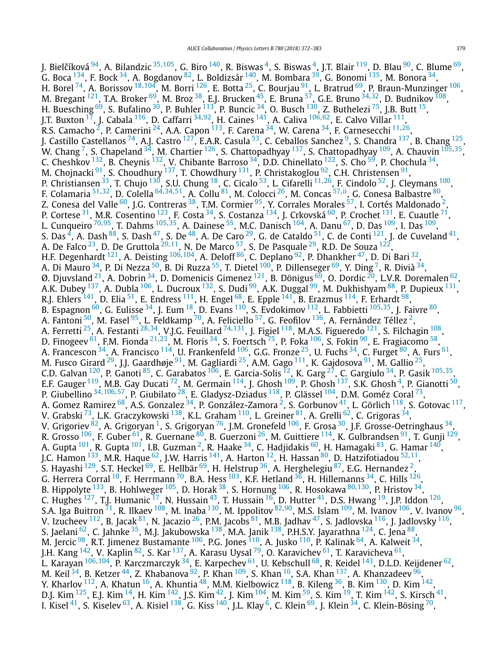J. Bielčíková <sup>94</sup>, A. Bilandzic <sup>[35](#page-10-0),105</sup>, G. Biro <sup>140</sup>, R. Biswas <sup>4</sup>, S. Biswas <sup>4</sup>, J.T. Blair <sup>119</sup>, D. Blau <sup>90</sup>, C. Blume <sup>69</sup>, G. Boca <sup>134</sup>, F. Bock <sup>34</sup>, A. Bogdanov <sup>82</sup>, L. Boldizsár <sup>140</sup>, M. Bombara <sup>39</sup>, G. Bonomi <sup>[135](#page-11-0)</sup>, M. Bonora <sup>34</sup>, H. Borel [74,](#page-10-0) A. Borissov [18](#page-9-0)*,*[104](#page-10-0), M. Borri [126,](#page-11-0) E. Botta [25,](#page-9-0) C. Bourjau [91,](#page-10-0) L. Bratrud [69,](#page-10-0) P. Braun-Munzinger [106,](#page-11-0) M. Bregant [121,](#page-11-0) T.A. Broker [69,](#page-10-0) M. Broz [38,](#page-10-0) E.J. Brucken [45](#page-10-0), E. Bruna [57,](#page-10-0) G.E. Bruno [34](#page-10-0)*,*[32,](#page-10-0) D. Budnikov [108,](#page-11-0) H. Buesching  $^{69}$ , S. Bufalino  $^{30}$ , P. Buhler  $^{113}$ , P. Buncic  $^{34}$ , O. Busch  $^{130}$ , Z. Buthelezi  $^{75}$ , J.B. Butt  $^{15}$ , J.T. Buxton [17,](#page-9-0) J. Cabala [116,](#page-11-0) D. Caffarri [34](#page-10-0)*,*[92,](#page-10-0) H. Caines [141,](#page-11-0) A. Caliva [106](#page-11-0)*,*[62](#page-10-0), E. Calvo Villar [111,](#page-11-0) R.S. Camacho<sup>2</sup>, P. Camerini<sup>24</sup>, A.A. Capon<sup>[11](#page-9-0)3</sup>, F. Carena<sup>34</sup>, W. Carena<sup>34</sup>, F. Carnesecchi<sup>11,26</sup>, J. Castillo Castellanos <sup>74</sup>, A.J. Castro <sup>127</sup>, E.A.R. Casula <sup>53</sup>, C. Ceballos Sanchez <sup>9</sup>, S. Chandra <sup>137</sup>, B. Chang <sup>125</sup>, W. Chang<sup>7</sup>, S. Chapeland <sup>[34](#page-10-0)</sup>, M. Chartier <sup>126</sup>, S. Chattopadhyay <sup>137</sup>, S. Chattopadhyay <sup>[109](#page-11-0)</sup>, A. Chauvin <sup>[105](#page-11-0)</sup>, <sup>35</sup>, C. Cheshkov  $^{132}$ , B. Cheynis  $^{132}$ , V. Chibante Barroso  $^{34}$ , D.D. Chinellato  $^{122}$ , S. Cho  $^{59}$ , P. Chochula  $^{34}$ , M. Chojnacki <sup>91</sup>, S. Choudhury <sup>137</sup>, T. Chowdhury <sup>131</sup>, P. Christakoglou <sup>92</sup>, C.H. Christensen <sup>91</sup>, P. Christiansen [33,](#page-10-0) T. Chujo [130,](#page-11-0) S.U. Chung [18,](#page-9-0) C. Cicalo [53,](#page-10-0) L. Cifarelli [11](#page-9-0)*,*[26,](#page-10-0) F. Cindolo [52,](#page-10-0) J. Cleymans [100,](#page-10-0) F. Colamaria [51](#page-10-0)*,*[32,](#page-10-0) D. Colella [64](#page-10-0)*,*[34](#page-10-0)*,*[51](#page-10-0), A. Collu [81,](#page-10-0) M. Colocci [26,](#page-10-0) M. Concas [57](#page-10-0)*,*[ii,](#page-11-0) G. Conesa Balbastre [80,](#page-10-0) Z. Conesa del Valle <sup>[60](#page-10-0)</sup>, J.G. Contreras <sup>38</sup>, T.M. Cormier <sup>95</sup>, Y. Corrales Morales <sup>57</sup>, I. Cortés Maldonado<sup>2</sup>, P. Cortese <sup>31</sup>, M.R. Cosentino <sup>123</sup>, F. Costa <sup>34</sup>, S. Costanza <sup>134</sup>, J. Crkovská <sup>60</sup>, P. Crochet <sup>131</sup>, E. Cuautle <sup>71</sup>, L. Cunqueiro [70](#page-10-0)*,*[95,](#page-10-0) T. Dahms [105](#page-11-0)*,*[35,](#page-10-0) A. Dainese [55,](#page-10-0) M.C. Danisch [104,](#page-10-0) A. Danu [67,](#page-10-0) D. Das [109,](#page-11-0) I. Das [109,](#page-11-0) S. Das  $^4$ , A. Dash  $^{88}$ , S. Dash  $^{47}$  $^{47}$  $^{47}$ , S. De  $^{48}$ , A. De Caro  $^{29}$ , G. de Cataldo  $^{51}$ , C. de Conti  $^{121}$ , J. de Cuveland  $^{41}$ , A. De Falco [23,](#page-9-0) D. De Gruttola [29](#page-10-0)*,*[11](#page-9-0), N. De Marco [57,](#page-10-0) S. De Pasquale [29,](#page-10-0) R.D. De Souza [122,](#page-11-0) H.F. Degenhardt [121,](#page-11-0) A. Deisting [106](#page-11-0)*,*[104,](#page-10-0) A. Deloff [86,](#page-10-0) C. Deplano [92,](#page-10-0) P. Dhankher [47](#page-10-0), D. Di Bari [32,](#page-10-0) A. Di Mauro <sup>34</sup>, P. Di Nezza <sup>50</sup>, B. Di Ruzza <sup>55</sup>, T. Dietel <sup>100</sup>, P. Dillenseger <sup>69</sup>, Y. Ding <sup>7</sup>, R. Divià <sup>34</sup>, Ø. Djuvsland  $^{21}$ , A. Dobrin  $^{34}$  $^{34}$  $^{34}$ , D. Domenicis Gimenez  $^{121}$  $^{121}$  $^{121}$ , B. Dönigus  $^{69}$ , O. Dordic  $^{20}$ , L.V.R. Doremalen  $^{62}$ , A.K. Dubey <sup>137</sup>, A. Dubla <sup>106</sup>, L. Ducroux <sup>132</sup>, S. Dudi <sup>99</sup>, A.K. Duggal <sup>99</sup>, M. Dukhishyam <sup>88</sup>, P. Dupieux <sup>[131](#page-11-0)</sup>, R.J. Ehlers <sup>141</sup>, D. Elia <sup>51</sup>, E. Endress <sup>111</sup>, H. Engel <sup>[68](#page-10-0)</sup>, E. Epple <sup>141</sup>, B. Erazmus <sup>114</sup>, F. Erhardt <sup>98</sup>, B. Espagnon [60,](#page-10-0) G. Eulisse [34,](#page-10-0) J. Eum [18,](#page-9-0) D. Evans [110,](#page-11-0) S. Evdokimov [112,](#page-11-0) L. Fabbietti [105](#page-11-0)*,*[35,](#page-10-0) J. Faivre [80](#page-10-0), A. Fantoni  $^{50}$  $^{50}$  $^{50}$ , M. Fasel  $^{95}$ , L. Feldkamp  $^{70}$ , A. Feliciello  $^{57}$ , G. Feofilov  $^{136}$ , A. Fernández Téllez  $^2$ , A. Ferretti [25,](#page-9-0) A. Festanti [28](#page-10-0)*,*[34,](#page-10-0) V.J.G. Feuillard [74](#page-10-0)*,*[131,](#page-11-0) J. Figiel [118,](#page-11-0) M.A.S. Figueredo [121,](#page-11-0) S. Filchagin [108,](#page-11-0) D. Finogeev [61,](#page-10-0) F.M. Fionda [21](#page-9-0)*,*[23,](#page-9-0) M. Floris [34,](#page-10-0) S. Foertsch [75,](#page-10-0) P. Foka [106,](#page-11-0) S. Fokin [90,](#page-10-0) E. Fragiacomo [58,](#page-10-0) A. Francescon  $^{34}$ , A. Francisco  $^{114}$ , U. Frankenfeld  $^{106}$ , G.G. Fronze  $^{25}$ , U. Fuchs  $^{34}$ , C. Furget  $^{80}$ , A. Furs  $^{61}$ , M. Fusco Girard<sup>29</sup>, J.J. Gaardhøje<sup>91</sup>, M. Gagliardi<sup>25</sup>, A.M. Gago <sup>111</sup>, K. Gajdosova <sup>91</sup>, M. Gallio<sup>25</sup>, C.D. Galvan [120,](#page-11-0) P. Ganoti [85,](#page-10-0) C. Garabatos [106,](#page-11-0) E. Garcia-Solis [12,](#page-9-0) K. Garg [27,](#page-10-0) C. Gargiulo [34,](#page-10-0) P. Gasik [105](#page-11-0)*,*[35,](#page-10-0) E.F. Gauger  $^{119}$  $^{119}$  $^{119}$ , M.B. Gay Ducati  $^{72}$  $^{72}$  $^{72}$ , M. Germain  $^{114}$  $^{114}$  $^{114}$ , J. Ghosh  $^{109}$ , P. Ghosh  $^{137}$ , S.K. Ghosh  $^{4}$ , P. Gianotti  $^{50}$ , P. Giubellino [34](#page-10-0)*,*[106](#page-11-0)*,*[57,](#page-10-0) P. Giubilato [28,](#page-10-0) E. Gladysz-Dziadus [118,](#page-11-0) P. Glässel [104,](#page-10-0) D.M. Goméz Coral [73,](#page-10-0) A. Gomez Ramirez <sup>68</sup>, A.S. Gonzalez <sup>34</sup>, P. González-Zamora <sup>2</sup>, S. Gorbunov <sup>41</sup>, L. Görlich <sup>118</sup>, S. Gotovac <sup>117</sup>, V. Grabski  $^{73}$ , L.K. Graczykowski  $^{138}$ , K.L. Graham  $^{110}$ , L. Greiner  $^{81}$ , A. Grelli  $^{62}$ , C. Grigoras  $^{34},$ V. Grigoriev <sup>82</sup>, A. Grigoryan <sup>[1](#page-9-0)</sup>, S. Grigoryan <sup>76</sup>, J.M. Gronefeld <sup>106</sup>, F. Grosa <sup>30</sup>, J.F. Grosse-Oetringhaus <sup>34</sup>, R. Grosso  $^{106}$ , F. Guber  $^{61}$ , R. Guernane  $^{80}$ , B. Guerzoni  $^{26}$ , M. Guittiere  $^{114}$ , K. Gulbrandsen  $^{91}$ , T. Gunji  $^{129}$ , A. Gupta <sup>101</sup>, R. Gupta <sup>101</sup>, I.B. Guzman <sup>2</sup>, R. Haake <sup>34</sup>, C. Hadjidakis <sup>60</sup>, H. Hamagaki <sup>83</sup>, G. Hamar <sup>140</sup>, J.C. Hamon [133,](#page-11-0) M.R. Haque [62,](#page-10-0) J.W. Harris [141,](#page-11-0) A. Harton [12,](#page-9-0) H. Hassan [80,](#page-10-0) D. Hatzifotiadou [52](#page-10-0)*,*[11,](#page-9-0) S. Hayashi  $^{129}$ , S.T. Heckel  $^{69}$ , E. Hellbär  $^{69}$ , H. Helstrup  $^{36}$ , A. Herghelegiu  $^{87}$  $^{87}$  $^{87}$ , E.G. Hernandez  $^2$ , G. Herrera Corral  $^{10}$ , F. Herrmann  $^{70}$ , B.A. Hess  $^{103}$ , K.F. Hetland  $^{36}$ , H. Hillemanns  $^{34}$ , C. Hills  $^{126}$ , B. Hippolyte [133,](#page-11-0) B. Hohlweger [105,](#page-11-0) D. Horak [38,](#page-10-0) S. Hornung [106,](#page-11-0) R. Hosokawa [80](#page-10-0)*,*[130,](#page-11-0) P. Hristov [34,](#page-10-0) C. Hughes  $^{127}$ , T.J. Humanic  $^{17}$ , N. Hussain  $^{43}$ , T. Hussain  $^{16}$ , D. Hutter  $^{41}$ , D.S. Hwang  $^{19}$ , J.P. Iddon  $^{126}$ , S.A. Iga Buitron [71,](#page-10-0) R. Ilkaev [108,](#page-11-0) M. Inaba [130,](#page-11-0) M. Ippolitov [82](#page-10-0)*,*[90,](#page-10-0) M.S. Islam [109,](#page-11-0) M. Ivanov [106,](#page-11-0) V. Ivanov [96,](#page-10-0) V. Izucheev  $^{112}$ , B. Jacak  $^{81}$ , N. Jacazio  $^{26}$  $^{26}$  $^{26}$ , P.M. Jacobs  $^{81}$ , M.B. Jadhav  $^{47}$ , S. Jadlovska  $^{116}$  $^{116}$  $^{116}$ , J. Jadlovsky  $^{116},$ S. Jaelani <sup>62</sup>, C. Jahnke <sup>35</sup>, M.J. Jakubowska <sup>138</sup>, M.A. Janik <sup>138</sup>, P.H.S.Y. Jayarathna <sup>124</sup>, C. Jena <sup>88</sup>, M. Jercic <sup>98</sup>, R.T. Jimenez Bustamante <sup>106</sup>, P.G. Jones <sup>110</sup>, A. Jusko <sup>110</sup>, P. Kalinak <sup>64</sup>, A. Kalweit <sup>[34](#page-10-0)</sup>, J.H. Kang <sup>142</sup>, V. Kaplin <sup>[82](#page-10-0)</sup>, S. Kar <sup>137</sup>, A. Karasu Uysal <sup>79</sup>, O. Karavichev <sup>61</sup>, T. Karavicheva <sup>61</sup>, L. Karayan [106](#page-11-0)*,*[104,](#page-10-0) P. Karczmarczyk [34,](#page-10-0) E. Karpechev [61,](#page-10-0) U. Kebschull [68](#page-10-0), R. Keidel [143,](#page-11-0) D.L.D. Keijdener [62,](#page-10-0) M. Keil $^{34}$ , B. Ketzer $^{44}$ , Z. Khabanova $^{92}$ , P. Khan $^{109}$ , S. Khan $^{16}$ , S.A. Khan $^{137}$  $^{137}$  $^{137}$ , A. Khanzadeev $^{96}$ , Y. Kharlov  $^{112}$ , A. Khatun  $^{16}$ , A. Khuntia  $^{48}$ , M.M. Kielbowicz  $^{118}$ , B. Kileng  $^{36}$ , B. Kim  $^{130}$ , D. Kim  $^{142}$ , D.J. Kim  $^{125}$ , E.J. Kim  $^{14}$ , H. Kim  $^{142}$  $^{142}$  $^{142}$ , J.S. Kim  $^{42}$ , J. Kim  $^{104}$ , M. Kim  $^{59}$ , S. Kim  $^{19}$ , T. Kim  $^{142}$ , S. Kirsch  $^{41}$ , I. Kisel $^{41}$ , S. Kiselev $^{63}$ , A. Kisiel $^{138}$ , G. Kiss $^{140}$ , J.L. Klay $^6$ , C. Klein $^{69}$ , J. Klein $^{34}$ , C. Klein-Bösing $^{70}$ ,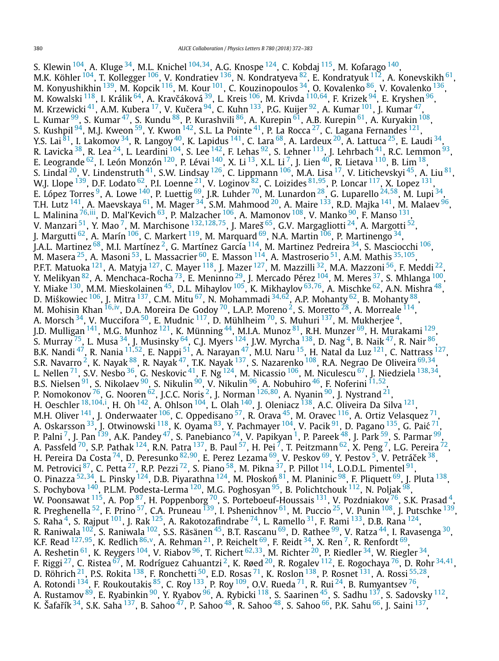S. Klewin [104](#page-10-0), A. Kluge [34](#page-10-0), M.L. Knichel [104](#page-10-0)*,*[34,](#page-10-0) A.G. Knospe [124,](#page-11-0) C. Kobdaj [115,](#page-11-0) M. Kofarago [140,](#page-11-0) M.K. Köhler <sup>104</sup>, T. Kollegger <sup>106</sup>, V. Kondratiev <sup>136</sup>, N. Kondratyeva <sup>82</sup>, E. Kondratyuk <sup>112</sup>, A. Konevskikh <sup>[61](#page-10-0)</sup>, M. Konyushikhin <sup>139</sup>, M. Kopcik <sup>116</sup>, M. Kour <sup>[101](#page-10-0)</sup>, C. Kouzinopoulos <sup>34</sup>, O. Kovalenko <sup>[86](#page-10-0)</sup>, V. Kovalenko <sup>136</sup>, M. Kowalski <sup>118</sup>, I. Králik <sup>64</sup>, A. Kravčáková <sup>39</sup>, L. Kreis <sup>[106](#page-11-0)</sup>, M. Krivda <sup>[110](#page-11-0),64</sup>, F. Krizek <sup>94</sup>, E. Kryshen <sup>96</sup>, M. Krzewicki  $^{41}$ , A.M. Kubera  $^{17}$ , V. Kučera  $^{94}$ , C. Kuhn  $^{133}$ , P.G. Kuijer  $^{92}$ , A. Kumar  $^{101}$ , J. Kumar  $^{47}$ , L. Kumar <sup>99</sup>, S. Kumar <sup>47</sup>, S. Kundu <sup>88</sup>, P. Kurashvili <sup>86</sup>, A. Kurepin <sup>[61](#page-10-0)</sup>, A.B. Kurepin <sup>61</sup>, A. Kuryakin <sup>108</sup>, S. Kushpil  $94$ , M.J. Kweon  $59$ , Y. Kwon  $142$ , S.L. La Pointe  $41$ , P. La Rocca  $27$ , C. Lagana Fernandes  $121$ , Y.S. Lai <sup>81</sup>, I. Lakomov <sup>[34](#page-10-0)</sup>, R. Langoy <sup>40</sup>, K. Lapidus <sup>141</sup>, C. Lara <sup>68</sup>, A. Lardeux <sup>20</sup>, A. Lattuca <sup>25</sup>, E. Laudi <sup>34</sup>, R. Lavicka  $^{38}$ , R. Lea  $^{24}$ , L. Leardini  $^{104}$ , S. Lee  $^{142}$ , F. Lehas  $^{92}$ , S. Lehner  $^{113}$ , J. Lehrbach  $^{41}$ , R.C. Lemmon  $^{93}$ , E. Leogrande  $^{62}$ , I. León Monzón  $^{120}$ , P. Lévai  $^{140}$ , X. Li  $^{13}$ , X.L. Li  $^7$ , J. Lien  $^{40}$ , R. Lietava  $^{110}$ , B. Lim  $^{18}$ , S. Lindal  $^{20}$  $^{20}$  $^{20}$ , V. Lindenstruth  $^{41}$ , S.W. Lindsay  $^{126}$ , C. Lippmann  $^{106}$ , M.A. Lisa  $^{17}$ , V. Litichevskyi  $^{45}$ , A. Liu  $^{81}$ , W.J. Llope [139,](#page-11-0) D.F. Lodato [62,](#page-10-0) P.I. Loenne [21](#page-9-0), V. Loginov [82,](#page-10-0) C. Loizides [81](#page-10-0)*,*[95,](#page-10-0) P. Loncar [117,](#page-11-0) X. Lopez [131,](#page-11-0) E. López Torres [9,](#page-9-0) A. Lowe [140](#page-11-0), P. Luettig [69,](#page-10-0) J.R. Luhder [70,](#page-10-0) M. Lunardon [28,](#page-10-0) G. Luparello [24](#page-9-0)*,*[58,](#page-10-0) M. Lupi [34,](#page-10-0) T.H. Lutz  $^{141}$ , A. Maevskaya  $^{61}$ , M. Mager  $^{34}$ , S.M. Mahmood  $^{20}$ , A. Maire  $^{133}$ , R.D. Majka  $^{141}$ , M. Malaev  $^{96}$ , L. Malinina <sup>[76](#page-10-0),iii</sup>, D. Mal'Kevich <sup>63</sup>, P. Malzacher <sup>106</sup>, A. Mamonov <sup>108</sup>, V. Manko <sup>[90](#page-10-0)</sup>, F. Manso <sup>131</sup>, V. Manzari [51,](#page-10-0) Y. Mao [7,](#page-9-0) M. Marchisone [132](#page-11-0)*,*[128](#page-11-0)*,*[75,](#page-10-0) J. Mareš [65,](#page-10-0) G.V. Margagliotti [24,](#page-9-0) A. Margotti [52,](#page-10-0) J. Margutti  $^{62}$ , A. Marín  $^{106}$ , C. Markert  $^{119}$ , M. Marquard  $^{69}$ , N.A. Martin  $^{106}$ , P. Martinengo  $^{34}$ , J.A.L. Martinez  $^{68}$ , M.I. Martínez  $^2$ , G. Martínez García  $^{114}$ , M. Martinez Pedreira  $^{34}$ , S. Masciocchi  $^{106}$ , M. Masera [25,](#page-9-0) A. Masoni [53](#page-10-0), L. Massacrier [60,](#page-10-0) E. Masson [114,](#page-11-0) A. Mastroserio [51,](#page-10-0) A.M. Mathis [35](#page-10-0)*,*[105,](#page-11-0) P.F.T. Matuoka <sup>121</sup>, A. Matyja <sup>[127](#page-11-0)</sup>, C. Mayer <sup>118</sup>, J. Mazer <sup>127</sup>, M. Mazzilli <sup>32</sup>, M.A. Mazzoni <sup>56</sup>, F. Meddi <sup>22</sup>, Y. Melikyan <sup>82</sup>, A. Menchaca-Rocha <sup>73</sup>, E. Meninno <sup>29</sup>, J. Mercado Pérez <sup>104</sup>, M. Meres <sup>[37](#page-10-0)</sup>, S. Mhlanga <sup>100</sup>, Y. Miake [130](#page-11-0), M.M. Mieskolainen [45,](#page-10-0) D.L. Mihaylov [105,](#page-11-0) K. Mikhaylov [63](#page-10-0)*,*[76,](#page-10-0) A. Mischke [62,](#page-10-0) A.N. Mishra [48,](#page-10-0) D. Miśkowiec <sup>106</sup>, J. Mitra <sup>[137](#page-11-0)</sup>, C.M. Mitu <sup>67</sup>, N. Mohammadi <sup>[34](#page-10-0),[62](#page-10-0)</sup>, A.P. Mohanty <sup>62</sup>, B. Mohanty <sup>88</sup>, M. Mohisin Khan <sup>[16](#page-9-0),iv</sup>, D.A. Moreira De Godoy<sup>70</sup>, L.A.P. Moreno<sup>[2](#page-9-0)</sup>, S. Moretto<sup>28</sup>, A. Morreale <sup>114</sup>, A. Morsch  $^{34}$ , V. Muccifora  $^{50}$ , E. Mudnic  $^{117}$ , D. Mühlheim  $^{70}$  $^{70}$  $^{70}$ , S. Muhuri  $^{137}$  $^{137}$  $^{137}$ , M. Mukherjee  $^4$ , J.D. Mulligan <sup>141</sup>, M.G. Munhoz <sup>[121](#page-11-0)</sup>, K. Münning <sup>44</sup>, M.I.A. Munoz <sup>81</sup>, R.H. Munzer <sup>69</sup>, H. Murakami <sup>129</sup>, S. Murray  $^{75}$ , L. Musa  $^{34}$ , J. Musinsky  $^{64}$ , C.J. Myers  $^{124}$ , J.W. Myrcha  $^{138}$ , D. Nag  $^4$ , B. Naik  $^{47}$ , R. Nair  $^{86},$ B.K. Nandi [47,](#page-10-0) R. Nania [11](#page-9-0)*,*[52,](#page-10-0) E. Nappi [51,](#page-10-0) A. Narayan [47,](#page-10-0) M.U. Naru [15](#page-9-0), H. Natal da Luz [121,](#page-11-0) C. Nattrass [127,](#page-11-0) S.R. Navarro [2](#page-9-0), K. Nayak [88](#page-10-0), R. Nayak [47,](#page-10-0) T.K. Nayak [137,](#page-11-0) S. Nazarenko [108,](#page-11-0) R.A. Negrao De Oliveira [69](#page-10-0)*,*[34,](#page-10-0) L. Nellen [71,](#page-10-0) S.V. Nesbo [36,](#page-10-0) G. Neskovic [41,](#page-10-0) F. Ng [124,](#page-11-0) M. Nicassio [106,](#page-11-0) M. Niculescu [67,](#page-10-0) J. Niedziela [138](#page-11-0)*,*[34,](#page-10-0) B.S. Nielsen <sup>91</sup>, S. Nikolaev <sup>[90](#page-10-0)</sup>, S. Nikulin <sup>90</sup>, V. Nikulin <sup>96</sup>, A. Nobuhiro <sup>46</sup>, F. Noferini <sup>[11](#page-9-0),52</sup>, P. Nomokonov [76,](#page-10-0) G. Nooren [62,](#page-10-0) J.C.C. Noris [2](#page-9-0), J. Norman [126](#page-11-0)*,*[80,](#page-10-0) A. Nyanin [90,](#page-10-0) J. Nystrand [21,](#page-9-0) H. Oeschler <sup>[18](#page-9-0),[104](#page-10-0),[i](#page-11-0)</sup>, H. Oh <sup>142</sup>, A. Ohlson <sup>104</sup>, L. Olah <sup>140</sup>, J. Oleniacz <sup>138</sup>, A.C. Oliveira Da Silva <sup>121</sup>, M.H. Oliver  $^{141}$ , J. Onderwaater  $^{106}$ , C. Oppedisano  $^{57}$ , R. Orava  $^{45}$ , M. Oravec  $^{116}$ , A. Ortiz Velasquez  $^{71}$ , A. Oskarsson <sup>33</sup>, J. Otwinowski <sup>118</sup>, K. Oyama <sup>83</sup>, Y. Pachmayer <sup>104</sup>, V. Pacik <sup>91</sup>, D. Pagano <sup>135</sup>, G. Paić <sup>71</sup>, P. Palni <sup>7</sup>, J. Pan <sup>139</sup>, A.K. Pandey <sup>47</sup>, S. Panebianco <sup>74</sup>, V. Papikyan <sup>1</sup>, P. Pareek <sup>48</sup>, J. Park <sup>59</sup>, S. Parmar <sup>99</sup>, A. Passfeld <sup>70</sup>, S.P. Pathak <sup>124</sup>, R.N. Patra <sup>137</sup>, B. Paul <sup>57</sup>, H. Pei <sup>7</sup>, T. Peitzmann  $^{62}$ , X. Peng <sup>7</sup>, L.G. Pereira  $^{72}$ , H. Pereira Da Costa <sup>74</sup>, D. Peresunko <sup>[82](#page-10-0),90</sup>, E. Perez Lezama <sup>69</sup>, V. Peskov <sup>69</sup>, Y. Pestov <sup>5</sup>, V. Petráček <sup>38</sup>, M. Petrovici  $^{87}$  $^{87}$  $^{87}$ , C. Petta  $^{27}$ , R.P. Pezzi  $^{72}$ , S. Piano  $^{58}$ , M. Pikna  $^{37}$ , P. Pillot  $^{114}$  $^{114}$  $^{114}$ , L.O.D.L. Pimentel  $^{91}$ , O. Pinazza <sup>[52](#page-10-0),34</sup>, L. Pinsky <sup>124</sup>, D.B. Piyarathna <sup>124</sup>, M. Płoskoń <sup>81</sup>, M. Planinic <sup>98</sup>, F. Pliquett <sup>69</sup>, J. Pluta <sup>138</sup>, S. Pochybova  $\frac{140}{112}$ , P.L.M. Podesta-Lerma  $\frac{120}{12}$  $\frac{120}{12}$  $\frac{120}{12}$ , M.G. Poghosyan  $\frac{95}{12}$ , B. Polichtchouk  $\frac{112}{112}$ , N. Poljak  $\frac{98}{12}$ W. Poonsawat <sup>115</sup>, A. Pop <sup>87</sup>, H. Poppenborg <sup>70</sup>, S. Porteboeuf-Houssais <sup>131</sup>, V. Pozdniakov <sup>76</sup>, S.K. Prasad <sup>4</sup>, R. Preghenella <sup>52</sup>, F. Prino <sup>57</sup>, C.A. Pruneau <sup>139</sup>, I. Pshenichnov <sup>61</sup>, M. Puccio <sup>25</sup>, V. Punin <sup>108</sup>, J. Putschke <sup>139</sup>, S. Raha $^4$ , S. Rajput  $^{101}$ , J. Rak  $^{125}$  $^{125}$  $^{125}$ , A. Rakotozafindrabe  $^{74}$ , L. Ramello  $^{31}$ , F. Rami  $^{133}$ , D.B. Rana  $^{124}$ , R. Raniwala <sup>102</sup>, S. Raniwala <sup>102</sup>, S.S. Räsänen <sup>45</sup>, B.T. Rascanu <sup>69</sup>, D. Rathee <sup>99</sup>, V. Ratza <sup>44</sup>, I. Ravasenga <sup>30</sup>, K.F. Read [127](#page-11-0)*,*[95,](#page-10-0) K. Redlich [86](#page-10-0)*,*[v,](#page-11-0) A. Rehman [21,](#page-9-0) P. Reichelt [69,](#page-10-0) F. Reidt [34](#page-10-0), X. Ren [7](#page-9-0), R. Renfordt [69](#page-10-0), A. Reshetin <sup>61</sup>, K. Reygers <sup>104</sup>, V. Riabov <sup>96</sup>, T. Richert <sup>[62](#page-10-0),33</sup>, M. Richter <sup>20</sup>, P. Riedler <sup>34</sup>, W. Riegler <sup>34</sup>, F. Riggi [27,](#page-10-0) C. Ristea [67,](#page-10-0) M. Rodríguez Cahuantzi [2,](#page-9-0) K. Røed [20,](#page-9-0) R. Rogalev [112,](#page-11-0) E. Rogochaya [76,](#page-10-0) D. Rohr [34](#page-10-0)*,*[41,](#page-10-0) D. Röhrich [21,](#page-9-0) P.S. Rokita [138,](#page-11-0) F. Ronchetti [50,](#page-10-0) E.D. Rosas [71](#page-10-0), K. Roslon [138,](#page-11-0) P. Rosnet [131,](#page-11-0) A. Rossi [55](#page-10-0)*,*[28,](#page-10-0) A. Rotondi  $^{134}$ , F. Roukoutakis  $^{85}$ , C. Roy  $^{133}$ , P. Roy  $^{109}$ , O.V. Rueda  $^{71}$  $^{71}$  $^{71}$ , R. Rui  $^{24}$ , B. Rumyantsev  $^{76}$ , A. Rustamov <sup>89</sup>, E. Ryabinkin <sup>90</sup>, Y. Ryabov <sup>96</sup>, A. Rybicki <sup>118</sup>, S. Saarinen <sup>45</sup>, S. Sadhu <sup>137</sup>, S. Sadovsky <sup>112</sup>, K. Šafařík $^{34}$ , S.K. Saha $^{137}$ , B. Sahoo $^{47}$ , P. Sahoo $^{48}$ , R. Sahoo $^{48}$ , S. Sahoo $^{66}$ , P.K. Sahu $^{66}$ , J. Saini $^{137}$ ,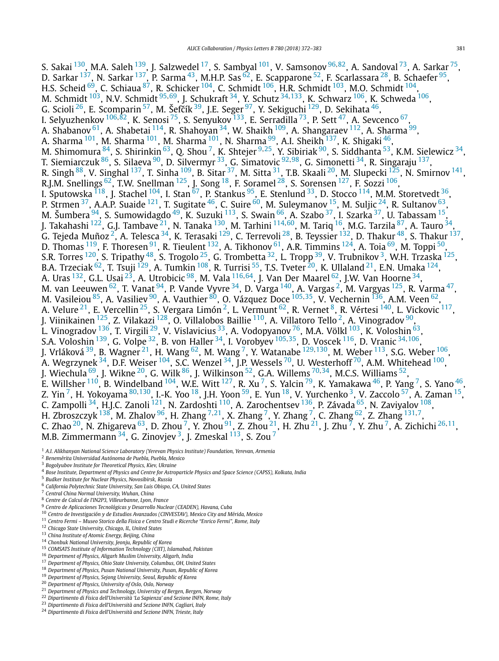<span id="page-9-0"></span>S. Sakai [130,](#page-11-0) M.A. Saleh [139](#page-11-0), J. Salzwedel 17, S. Sambyal [101,](#page-10-0) V. Samsonov [96](#page-10-0)*,*[82,](#page-10-0) A. Sandoval [73,](#page-10-0) A. Sarkar [75,](#page-10-0) D. Sarkar <sup>137</sup>, N. Sarkar <sup>137</sup>, P. Sarma <sup>43</sup>, M.H.P. Sas <sup>62</sup>, E. Scapparone <sup>52</sup>, F. Scarlassara <sup>28</sup>, B. Schaefer <sup>95</sup>, H.S. Scheid <sup>69</sup>, C. Schiaua <sup>87</sup>, R. Schicker <sup>104</sup>, C. Schmidt <sup>[106](#page-11-0)</sup>, H.R. Schmidt <sup>[103](#page-10-0)</sup>, M.O. Schmidt <sup>[104](#page-10-0)</sup>, M. Schmidt [103,](#page-10-0) N.V. Schmidt [95](#page-10-0)*,*[69,](#page-10-0) J. Schukraft [34,](#page-10-0) Y. Schutz [34](#page-10-0)*,*[133,](#page-11-0) K. Schwarz [106,](#page-11-0) K. Schweda [106,](#page-11-0) G. Scioli <sup>26</sup>, E. Scomparin <sup>57</sup>, M. Šefčík <sup>39</sup>, J.E. Seger <sup>97</sup>, Y. Sekiguchi <sup>129</sup>, D. Sekihata <sup>46</sup>, I. Selyuzhenkov [106](#page-11-0)*,*[82,](#page-10-0) K. Senosi [75,](#page-10-0) S. Senyukov [133,](#page-11-0) E. Serradilla [73,](#page-10-0) P. Sett [47,](#page-10-0) A. Sevcenco [67,](#page-10-0) A. Shabanov  $^{61}$ , A. Shabetai  $^{114}$ , R. Shahoyan  $^{34}$ , W. Shaikh  $^{109}$ , A. Shangaraev  $^{112}$ , A. Sharma  $^{99}$ , A. Sharma <sup>101</sup>, M. Sharma <sup>101</sup>, M. Sharma <sup>101</sup>, N. Sharma <sup>99</sup>, A.I. Sheikh <sup>137</sup>, K. Shigaki <sup>46</sup>, M. Shimomura [84](#page-10-0), S. Shirinkin [63,](#page-10-0) Q. Shou 7, K. Shtejer <sup>9</sup>*,*25, Y. Sibiriak [90,](#page-10-0) S. Siddhanta [53,](#page-10-0) K.M. Sielewicz [34,](#page-10-0) T. Siemiarczuk [86,](#page-10-0) S. Silaeva [90,](#page-10-0) D. Silvermyr [33,](#page-10-0) G. Simatovic [92](#page-10-0)*,*[98,](#page-10-0) G. Simonetti [34,](#page-10-0) R. Singaraju [137,](#page-11-0) R. Singh  $^{88}$ , V. Singhal  $^{137}$  $^{137}$  $^{137}$ , T. Sinha  $^{109}$  $^{109}$  $^{109}$ , B. Sitar  $^{37}$  $^{37}$  $^{37}$ , M. Sitta  $^{31}$ , T.B. Skaali  $^{20}$ , M. Slupecki  $^{125}$ , N. Smirnov  $^{141}$ , R.J.M. Snellings  $^{62}$  $^{62}$  $^{62}$ , T.W. Snellman  $^{125}$ , J. Song  $^{18}$ , F. Soramel  $^{28}$ , S. Sorensen  $^{127}$ , F. Sozzi  $^{106}$ , I. Sputowska <sup>118</sup>, J. Stachel <sup>104</sup>, I. Stan <sup>[67](#page-10-0)</sup>, P. Stankus <sup>95</sup>, E. Stenlund <sup>[33](#page-10-0)</sup>, D. Stocco <sup>114</sup>, M.M. Storetvedt <sup>36</sup>, P. Strmen <sup>37</sup>, A.A.P. Suaide <sup>121</sup>, T. Sugitate <sup>46</sup>, C. Suire <sup>60</sup>, M. Suleymanov <sup>15</sup>, M. Suljic <sup>24</sup>, R. Sultanov <sup>63</sup>, M. Šumbera <sup>94</sup>, S. Sumowidagdo <sup>49</sup>, K. Suzuki <sup>113</sup>, S. Swain <sup>66</sup>, A. Szabo <sup>37</sup>, I. Szarka <sup>37</sup>, U. Tabassam <sup>15</sup>, J. Takahashi [122,](#page-11-0) G.J. Tambave 21, N. Tanaka [130,](#page-11-0) M. Tarhini [114](#page-11-0)*,*[60,](#page-10-0) M. Tariq 16, M.G. Tarzila [87,](#page-10-0) A. Tauro [34,](#page-10-0) G. Tejeda Muñoz $^2$ , A. Telesca $^{\,34}$ , K. Terasaki  $^{129}$ , C. Terrevoli $^{\,28}$ , B. Teyssier  $^{132}$ , D. Thakur  $^{48}$ , S. Thakur  $^{137}$ , D. Thomas <sup>[119](#page-11-0)</sup>, F. Thoresen <sup>91</sup>, R. Tieulent <sup>132</sup>, A. Tikhonov <sup>61</sup>, A.R. Timmins <sup>124</sup>, A. Toia <sup>69</sup>, M. Toppi <sup>50</sup>, S.R. Torres  $^{120}$ , S. Tripathy  $^{48}$ , S. Trogolo  $^{25}$ , G. Trombetta  $^{32}$ , L. Tropp  $^{39}$ , V. Trubnikov  $^3$ , W.H. Trzaska  $^{125}$ , B.A. Trzeciak  $^{62}$  $^{62}$  $^{62}$ , T. Tsuji  $^{129}$ , A. Tumkin  $^{108}$ , R. Turrisi  $^{55}$ , T.S. Tveter  $^{20}$ , K. Ullaland  $^{21}$ , E.N. Umaka  $^{124}$ , A. Uras [132,](#page-11-0) G.L. Usai 23, A. Utrobicic [98,](#page-10-0) M. Vala [116](#page-11-0)*,*[64,](#page-10-0) J. Van Der Maarel [62](#page-10-0), J.W. Van Hoorne [34,](#page-10-0) M. van Leeuwen $^{62}$ , T. Vanat $^{94}$ , P. Vande Vyvre $^{34}$ , D. Varga $^{140}$ , A. Vargas $^2$ , M. Vargyas $^{125}$ , R. Varma $^{47}$ , M. Vasileiou [85](#page-10-0), A. Vasiliev [90,](#page-10-0) A. Vauthier [80,](#page-10-0) O. Vázquez Doce [105](#page-11-0)*,*[35,](#page-10-0) V. Vechernin [136,](#page-11-0) A.M. Veen [62,](#page-10-0) A. Velure  $^{21}$ , E. Vercellin  $^{25}$ , S. Vergara Limón  $^2$ , L. Vermunt  $^{62}$ , R. Vernet  $^8$ , R. Vértesi  $^{140}$ , L. Vickovic  $^{117}$  $^{117}$  $^{117}$ , J. Viinikainen [125,](#page-11-0) Z. Vilakazi [128,](#page-11-0) O. Villalobos Baillie [110,](#page-11-0) A. Villatoro Tello 2, A. Vinogradov [90,](#page-10-0) L. Vinogradov <sup>136</sup>, T. Virgili <sup>29</sup>, V. Vislavicius <sup>33</sup>, A. Vodopyanov <sup>76</sup>, M.A. Völkl <sup>103</sup>, K. Voloshin <sup>63</sup>, S.A. Voloshin [139,](#page-11-0) G. Volpe [32,](#page-10-0) B. von Haller [34,](#page-10-0) I. Vorobyev [105](#page-11-0)*,*[35,](#page-10-0) D. Voscek [116,](#page-11-0) D. Vranic [34](#page-10-0)*,*[106,](#page-11-0) J. Vrláková [39,](#page-10-0) B. Wagner 21, H. Wang [62,](#page-10-0) M. Wang 7, Y. Watanabe [129](#page-11-0)*,*[130,](#page-11-0) M. Weber [113,](#page-11-0) S.G. Weber [106,](#page-11-0) A. Wegrzynek  $34$ , D.F. Weiser  $104$ , S.C. Wenzel  $34$ , J.P. Wessels  $70$ , U. Westerhoff  $70$ , A.M. Whitehead  $100$ , J. Wiechula [69,](#page-10-0) J. Wikne 20, G. Wilk [86,](#page-10-0) J. Wilkinson [52](#page-10-0), G.A. Willems [70](#page-10-0)*,*[34,](#page-10-0) M.C.S. Williams [52,](#page-10-0) E. Willsher  $^{110}$ , B. Windelband  $^{104}$ , W.E. Witt  $^{127}$ , R. Xu  $^7$ , S. Yalcin  $^{79}$ , K. Yamakawa  $^{46}$ , P. Yang  $^7$ , S. Yano  $^{46}$ , Z. Yin 7, H. Yokoyama [80](#page-10-0)*,*[130,](#page-11-0) I.-K. Yoo 18, J.H. Yoon [59,](#page-10-0) E. Yun 18, V. Yurchenko 3, V. Zaccolo [57,](#page-10-0) A. Zaman 15, C. Zampolli <sup>34</sup>, H.J.C. Zanoli <sup>121</sup>, N. Zardoshti <sup>110</sup>, A. Zarochentsev <sup>136</sup>, P. Závada <sup>65</sup>, N. Zaviyalov <sup>108</sup>, H. Zbroszczyk [138,](#page-11-0) M. Zhalov [96,](#page-10-0) H. Zhang <sup>7</sup>*,*21, X. Zhang 7, Y. Zhang 7, C. Zhang [62,](#page-10-0) Z. Zhang [131](#page-11-0)*,*7, C. Zhao 20, N. Zhigareva [63,](#page-10-0) D. Zhou 7, Y. Zhou [91](#page-10-0), Z. Zhou 21, H. Zhu 21, J. Zhu 7, Y. Zhu 7, A. Zichichi [26](#page-10-0)*,*11, M.B. Zimmermann  $^{34}$  $^{34}$  $^{34}$ , G. Zinovjev  $^3$ , J. Zmeskal  $^{113}$ , S. Zou  $^7$ 

<sup>1</sup> *A.I. Alikhanyan National Science Laboratory (Yerevan Physics Institute) Foundation, Yerevan, Armenia*

- <sup>12</sup> *Chicago State University, Chicago, IL, United States*
- <sup>13</sup> *China Institute of Atomic Energy, Beijing, China*

<sup>2</sup> *Benemérita Universidad Autónoma de Puebla, Puebla, Mexico*

<sup>3</sup> *Bogolyubov Institute for Theoretical Physics, Kiev, Ukraine*

<sup>4</sup> Bose Institute, Department of Physics and Centre for Astroparticle Physics and Space Science (CAPSS), Kolkata, India

<sup>5</sup> *Budker Institute for Nuclear Physics, Novosibirsk, Russia*

<sup>6</sup> *California Polytechnic State University, San Luis Obispo, CA, United States*

<sup>7</sup> *Central China Normal University, Wuhan, China*

<sup>8</sup> *Centre de Calcul de l'IN2P3, Villeurbanne, Lyon, France*

<sup>9</sup> *Centro de Aplicaciones Tecnológicas y Desarrollo Nuclear (CEADEN), Havana, Cuba*

<sup>10</sup> *Centro de Investigación y de Estudios Avanzados (CINVESTAV), Mexico City and Mérida, Mexico*

<sup>11</sup> *Centro Fermi – Museo Storico della Fisica e Centro Studi e Ricerche "Enrico Fermi", Rome, Italy*

<sup>14</sup> *Chonbuk National University, Jeonju, Republic of Korea*

<sup>15</sup> *COMSATS Institute of Information Technology (CIIT), Islamabad, Pakistan*

<sup>16</sup> *Department of Physics, Aligarh Muslim University, Aligarh, India*

<sup>17</sup> *Department of Physics, Ohio State University, Columbus, OH, United States*

<sup>18</sup> *Department of Physics, Pusan National University, Pusan, Republic of Korea*

<sup>19</sup> *Department of Physics, Sejong University, Seoul, Republic of Korea*

<sup>20</sup> *Department of Physics, University of Oslo, Oslo, Norway*

<sup>21</sup> *Department of Physics and Technology, University of Bergen, Bergen, Norway* <sup>22</sup> *Dipartimento di Fisica dell'Università 'La Sapienza' and Sezione INFN, Rome, Italy*

<sup>23</sup> *Dipartimento di Fisica dell'Università and Sezione INFN, Cagliari, Italy*

<sup>24</sup> *Dipartimento di Fisica dell'Università and Sezione INFN, Trieste, Italy*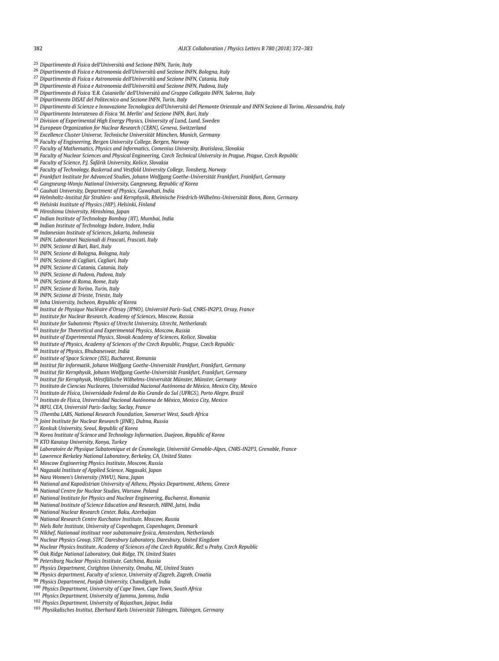- <span id="page-10-0"></span>*Dipartimento di Fisica dell'Università and Sezione INFN, Turin, Italy*
- *Dipartimento di Fisica e Astronomia dell'Università and Sezione INFN, Bologna, Italy*
- *Dipartimento di Fisica e Astronomia dell'Università and Sezione INFN, Catania, Italy*
- *Dipartimento di Fisica e Astronomia dell'Università and Sezione INFN, Padova, Italy*
- *Dipartimento di Fisica 'E.R. Caianiello' dell'Università and Gruppo Collegato INFN, Salerno, Italy*
- *Dipartimento DISAT del Politecnico and Sezione INFN, Turin, Italy*
- <sup>31</sup> Dipartimento di Scienze e Innovazione Tecnologica dell'Università del Piemonte Orientale and INFN Sezione di Torino, Alessandria, Italy
- *Dipartimento Interateneo di Fisica 'M. Merlin' and Sezione INFN, Bari, Italy*
- *Division of Experimental High Energy Physics, University of Lund, Lund, Sweden*
- *European Organization for Nuclear Research (CERN), Geneva, Switzerland*
- *Excellence Cluster Universe, Technische Universität München, Munich, Germany*
- *Faculty of Engineering, Bergen University College, Bergen, Norway*
- *Faculty of Mathematics, Physics and Informatics, Comenius University, Bratislava, Slovakia*
- *Faculty of Nuclear Sciences and Physical Engineering, Czech Technical University in Prague, Prague, Czech Republic*
- *Faculty of Science, P.J. Šafárik University, Košice, Slovakia*
- *Faculty of Technology, Buskerud and Vestfold University College, Tonsberg, Norway*
- *Frankfurt Institute for Advanced Studies, Johann Wolfgang Goethe-Universität Frankfurt, Frankfurt, Germany*
- *Gangneung-Wonju National University, Gangneung, Republic of Korea*
- *Gauhati University, Department of Physics, Guwahati, India*
- *Helmholtz-Institut für Strahlen- und Kernphysik, Rheinische Friedrich-Wilhelms-Universität Bonn, Bonn, Germany*
- *Helsinki Institute of Physics (HIP), Helsinki, Finland*
- *Hiroshima University, Hiroshima, Japan*
- *Indian Institute of Technology Bombay (IIT), Mumbai, India*
- *Indian Institute of Technology Indore, Indore, India*
- *Indonesian Institute of Sciences, Jakarta, Indonesia*
- *INFN, Laboratori Nazionali di Frascati, Frascati, Italy*
- *INFN, Sezione di Bari, Bari, Italy*
- *INFN, Sezione di Bologna, Bologna, Italy*
- *INFN, Sezione di Cagliari, Cagliari, Italy*
- *INFN, Sezione di Catania, Catania, Italy*
- *INFN, Sezione di Padova, Padova, Italy*
- *INFN, Sezione di Roma, Rome, Italy*
- *INFN, Sezione di Torino, Turin, Italy*
- *INFN, Sezione di Trieste, Trieste, Italy*
- *Inha University, Incheon, Republic of Korea*
- *Institut de Physique Nucléaire d'Orsay (IPNO), Université Paris-Sud, CNRS-IN2P3, Orsay, France*
- *Institute for Nuclear Research, Academy of Sciences, Moscow, Russia*
- *Institute for Subatomic Physics of Utrecht University, Utrecht, Netherlands*
- *Institute for Theoretical and Experimental Physics, Moscow, Russia*
- *Institute of Experimental Physics, Slovak Academy of Sciences, Košice, Slovakia*
- *Institute of Physics, Academy of Sciences of the Czech Republic, Prague, Czech Republic*
- *Institute of Physics, Bhubaneswar, India*
- *Institute of Space Science (ISS), Bucharest, Romania*
- *Institut für Informatik, Johann Wolfgang Goethe-Universität Frankfurt, Frankfurt, Germany*
- *Institut für Kernphysik, Johann Wolfgang Goethe-Universität Frankfurt, Frankfurt, Germany*
- *Institut für Kernphysik, Westfälische Wilhelms-Universität Münster, Münster, Germany*
- *Instituto de Ciencias Nucleares, Universidad Nacional Autónoma de México, Mexico City, Mexico*
- *Instituto de Física, Universidade Federal do Rio Grande do Sul (UFRGS), Porto Alegre, Brazil*
- *Instituto de Física, Universidad Nacional Autónoma de México, Mexico City, Mexico*
- *IRFU, CEA, Université Paris-Saclay, Saclay, France*
- *iThemba LABS, National Research Foundation, Somerset West, South Africa*
- *Joint Institute for Nuclear Research (JINR), Dubna, Russia*
- *Konkuk University, Seoul, Republic of Korea*
- *Korea Institute of Science and Technology Information, Daejeon, Republic of Korea*
- *KTO Karatay University, Konya, Turkey*
- *Laboratoire de Physique Subatomique et de Cosmologie, Université Grenoble-Alpes, CNRS-IN2P3, Grenoble, France*
- *Lawrence Berkeley National Laboratory, Berkeley, CA, United States*
- *Moscow Engineering Physics Institute, Moscow, Russia*
- *Nagasaki Institute of Applied Science, Nagasaki, Japan*
- *Nara Women's University (NWU), Nara, Japan*
- *National and Kapodistrian University of Athens, Physics Department, Athens, Greece*
- *National Centre for Nuclear Studies, Warsaw, Poland*
- *National Institute for Physics and Nuclear Engineering, Bucharest, Romania*
- *National Institute of Science Education and Research, HBNI, Jatni, India*
- *National Nuclear Research Center, Baku, Azerbaijan*
- *National Research Centre Kurchatov Institute, Moscow, Russia*
- *Niels Bohr Institute, University of Copenhagen, Copenhagen, Denmark*
- *Nikhef, Nationaal instituut voor subatomaire fysica, Amsterdam, Netherlands*
- *Nuclear Physics Group, STFC Daresbury Laboratory, Daresbury, United Kingdom*
- *Nuclear Physics Institute, Academy of Sciences of the Czech Republic, Rež ˇ u Prahy, Czech Republic*
- *Oak Ridge National Laboratory, Oak Ridge, TN, United States*
- *Petersburg Nuclear Physics Institute, Gatchina, Russia*
- *Physics Department, Creighton University, Omaha, NE, United States*
- *Physics department, Faculty of science, University of Zagreb, Zagreb, Croatia*
- *Physics Department, Panjab University, Chandigarh, India*
- *Physics Department, University of Cape Town, Cape Town, South Africa*
- *Physics Department, University of Jammu, Jammu, India*
- *Physics Department, University of Rajasthan, Jaipur, India*
- *Physikalisches Institut, Eberhard Karls Universität Tübingen, Tübingen, Germany*